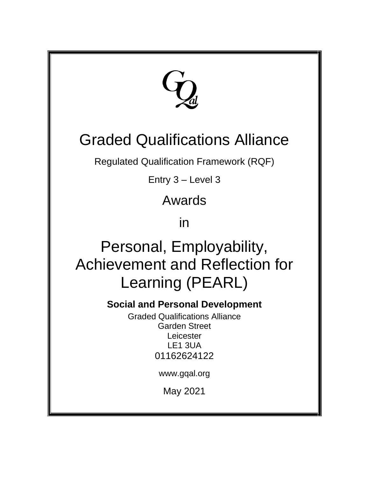

# Graded Qualifications Alliance

Regulated Qualification Framework (RQF)

Entry 3 – Level 3

Awards

in

Personal, Employability, Achievement and Reflection for Learning (PEARL)

**Social and Personal Development** 

Graded Qualifications Alliance Garden Street Leicester LE1 3UA 01162624122

www.gqal.org

May 2021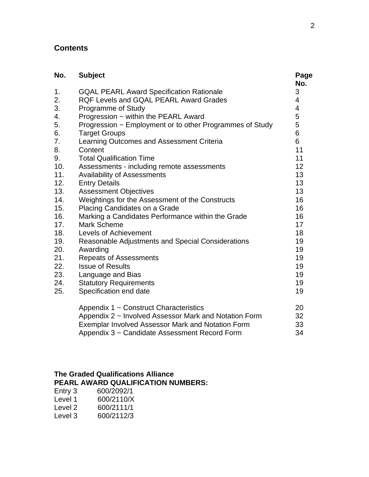### **Contents**

| No. | <b>Subject</b>                                           | Page<br>No. |
|-----|----------------------------------------------------------|-------------|
| 1.  | <b>GQAL PEARL Award Specification Rationale</b>          | 3           |
| 2.  | <b>RQF Levels and GQAL PEARL Award Grades</b>            | 4           |
| 3.  | Programme of Study                                       | 4           |
| 4.  | Progression ~ within the PEARL Award                     | 5           |
| 5.  | Progression ~ Employment or to other Programmes of Study | 5           |
| 6.  | <b>Target Groups</b>                                     | 6           |
| 7.  | Learning Outcomes and Assessment Criteria                | 6           |
| 8.  | Content                                                  | 11          |
| 9.  | <b>Total Qualification Time</b>                          | 11          |
| 10. | Assessments - including remote assessments               | 12          |
| 11. | <b>Availability of Assessments</b>                       | 13          |
| 12. | <b>Entry Details</b>                                     | 13          |
| 13. | <b>Assessment Objectives</b>                             | 13          |
| 14. | Weightings for the Assessment of the Constructs          | 16          |
| 15. | Placing Candidates on a Grade                            | 16          |
| 16. | Marking a Candidates Performance within the Grade        | 16          |
| 17. | <b>Mark Scheme</b>                                       | 17          |
| 18. | <b>Levels of Achievement</b>                             | 18          |
| 19. | Reasonable Adjustments and Special Considerations        | 19          |
| 20. | Awarding                                                 | 19          |
| 21. | <b>Repeats of Assessments</b>                            | 19          |
| 22. | <b>Issue of Results</b>                                  | 19          |
| 23. | Language and Bias                                        | 19          |
| 24. | <b>Statutory Requirements</b>                            | 19          |
| 25. | Specification end date                                   | 19          |
|     | Appendix 1 ~ Construct Characteristics                   | 20          |
|     | Appendix 2 ~ Involved Assessor Mark and Notation Form    | 32          |
|     | Exemplar Involved Assessor Mark and Notation Form        | 33          |
|     | Appendix 3 ~ Candidate Assessment Record Form            | 34          |

#### **The Graded Qualifications Alliance PEARL AWARD QUALIFICATION NUMBERS:**

| Entry 3 | 600/2092/1 |
|---------|------------|
| Level 1 | 600/2110/X |
| Level 2 | 600/2111/1 |
| Level 3 | 600/2112/3 |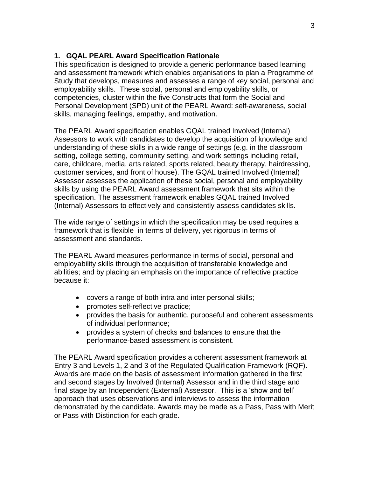#### **1. GQAL PEARL Award Specification Rationale**

This specification is designed to provide a generic performance based learning and assessment framework which enables organisations to plan a Programme of Study that develops, measures and assesses a range of key social, personal and employability skills. These social, personal and employability skills, or competencies, cluster within the five Constructs that form the Social and Personal Development (SPD) unit of the PEARL Award: self-awareness, social skills, managing feelings, empathy, and motivation.

The PEARL Award specification enables GQAL trained Involved (Internal) Assessors to work with candidates to develop the acquisition of knowledge and understanding of these skills in a wide range of settings (e.g. in the classroom setting, college setting, community setting, and work settings including retail, care, childcare, media, arts related, sports related, beauty therapy, hairdressing, customer services, and front of house). The GQAL trained Involved (Internal) Assessor assesses the application of these social, personal and employability skills by using the PEARL Award assessment framework that sits within the specification. The assessment framework enables GQAL trained Involved (Internal) Assessors to effectively and consistently assess candidates skills.

The wide range of settings in which the specification may be used requires a framework that is flexible in terms of delivery, yet rigorous in terms of assessment and standards.

The PEARL Award measures performance in terms of social, personal and employability skills through the acquisition of transferable knowledge and abilities; and by placing an emphasis on the importance of reflective practice because it:

- covers a range of both intra and inter personal skills;
- promotes self-reflective practice;
- provides the basis for authentic, purposeful and coherent assessments of individual performance;
- provides a system of checks and balances to ensure that the performance-based assessment is consistent.

The PEARL Award specification provides a coherent assessment framework at Entry 3 and Levels 1, 2 and 3 of the Regulated Qualification Framework (RQF). Awards are made on the basis of assessment information gathered in the first and second stages by Involved (Internal) Assessor and in the third stage and final stage by an Independent (External) Assessor. This is a 'show and tell' approach that uses observations and interviews to assess the information demonstrated by the candidate. Awards may be made as a Pass, Pass with Merit or Pass with Distinction for each grade.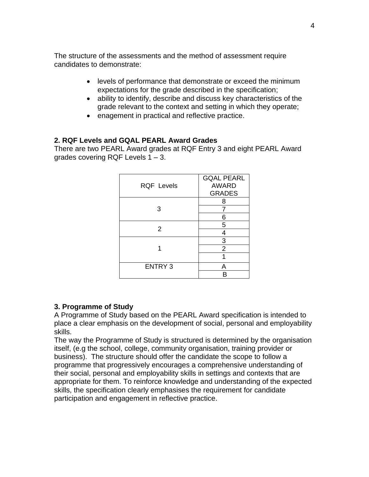The structure of the assessments and the method of assessment require candidates to demonstrate:

- levels of performance that demonstrate or exceed the minimum expectations for the grade described in the specification;
- ability to identify, describe and discuss key characteristics of the grade relevant to the context and setting in which they operate;
- enagement in practical and reflective practice.

#### **2. RQF Levels and GQAL PEARL Award Grades**

There are two PEARL Award grades at RQF Entry 3 and eight PEARL Award grades covering RQF Levels 1 – 3.

| <b>RQF Levels</b> | <b>GQAL PEARL</b><br><b>AWARD</b><br><b>GRADES</b> |
|-------------------|----------------------------------------------------|
|                   | 8                                                  |
| 3                 | 7                                                  |
|                   | 6                                                  |
| 2                 | 5                                                  |
|                   | 4                                                  |
|                   | 3                                                  |
|                   | $\overline{2}$                                     |
|                   |                                                    |
| <b>ENTRY 3</b>    | Д                                                  |
|                   |                                                    |

#### **3. Programme of Study**

A Programme of Study based on the PEARL Award specification is intended to place a clear emphasis on the development of social, personal and employability skills.

The way the Programme of Study is structured is determined by the organisation itself, (e.g the school, college, community organisation, training provider or business). The structure should offer the candidate the scope to follow a programme that progressively encourages a comprehensive understanding of their social, personal and employability skills in settings and contexts that are appropriate for them. To reinforce knowledge and understanding of the expected skills, the specification clearly emphasises the requirement for candidate participation and engagement in reflective practice.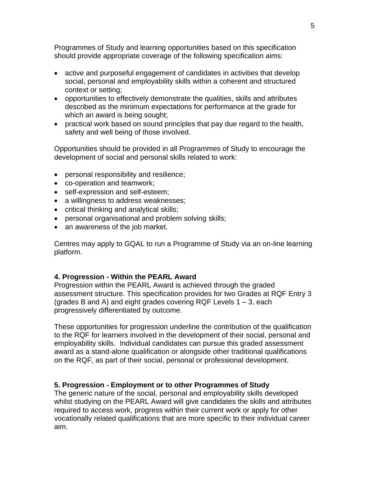Programmes of Study and learning opportunities based on this specification should provide appropriate coverage of the following specification aims:

- active and purposeful engagement of candidates in activities that develop social, personal and employability skills within a coherent and structured context or setting;
- opportunities to effectively demonstrate the qualities, skills and attributes described as the minimum expectations for performance at the grade for which an award is being sought;
- practical work based on sound principles that pay due regard to the health, safety and well being of those involved.

Opportunities should be provided in all Programmes of Study to encourage the development of social and personal skills related to work:

- personal responsibility and resilience;
- co-operation and teamwork;
- self-expression and self-esteem;
- a willingness to address weaknesses;
- critical thinking and analytical skills;
- personal organisational and problem solving skills;
- an awareness of the job market.

Centres may apply to GQAL to run a Programme of Study via an on-line learning platform.

#### **4. Progression - Within the PEARL Award**

Progression within the PEARL Award is achieved through the graded assessment structure. This specification provides for two Grades at RQF Entry 3 (grades B and A) and eight grades covering RQF Levels  $1 - 3$ , each progressively differentiated by outcome.

These opportunities for progression underline the contribution of the qualification to the RQF for learners involved in the development of their social, personal and employability skills. Individual candidates can pursue this graded assessment award as a stand-alone qualification or alongside other traditional qualifications on the RQF, as part of their social, personal or professional development.

#### **5. Progression - Employment or to other Programmes of Study**

The generic nature of the social, personal and employability skills developed whilst studying on the PEARL Award will give candidates the skills and attributes required to access work, progress within their current work or apply for other vocationally related qualifications that are more specific to their individual career aim.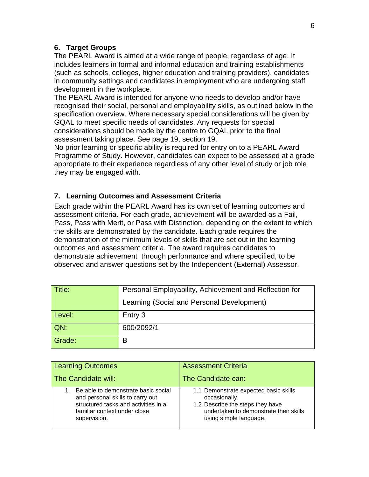#### **6. Target Groups**

The PEARL Award is aimed at a wide range of people, regardless of age. It includes learners in formal and informal education and training establishments (such as schools, colleges, higher education and training providers), candidates in community settings and candidates in employment who are undergoing staff development in the workplace.

The PEARL Award is intended for anyone who needs to develop and/or have recognised their social, personal and employability skills, as outlined below in the specification overview. Where necessary special considerations will be given by GQAL to meet specific needs of candidates. Any requests for special considerations should be made by the centre to GQAL prior to the final assessment taking place. See page 19, section 19.

No prior learning or specific ability is required for entry on to a PEARL Award Programme of Study. However, candidates can expect to be assessed at a grade appropriate to their experience regardless of any other level of study or job role they may be engaged with.

#### **7. Learning Outcomes and Assessment Criteria**

Each grade within the PEARL Award has its own set of learning outcomes and assessment criteria. For each grade, achievement will be awarded as a Fail, Pass, Pass with Merit, or Pass with Distinction, depending on the extent to which the skills are demonstrated by the candidate. Each grade requires the demonstration of the minimum levels of skills that are set out in the learning outcomes and assessment criteria. The award requires candidates to demonstrate achievement through performance and where specified, to be observed and answer questions set by the Independent (External) Assessor.

| $\mid$ Title: | Personal Employability, Achievement and Reflection for |
|---------------|--------------------------------------------------------|
|               | Learning (Social and Personal Development)             |
| Level:        | Entry 3                                                |
| QN:           | 600/2092/1                                             |
| Grade:        | в                                                      |

| <b>Learning Outcomes</b>                                                                                                                                        | <b>Assessment Criteria</b>                                                                                                                                     |
|-----------------------------------------------------------------------------------------------------------------------------------------------------------------|----------------------------------------------------------------------------------------------------------------------------------------------------------------|
| The Candidate will:                                                                                                                                             | The Candidate can:                                                                                                                                             |
| Be able to demonstrate basic social<br>and personal skills to carry out<br>structured tasks and activities in a<br>familiar context under close<br>supervision. | 1.1 Demonstrate expected basic skills<br>occasionally.<br>1.2 Describe the steps they have<br>undertaken to demonstrate their skills<br>using simple language. |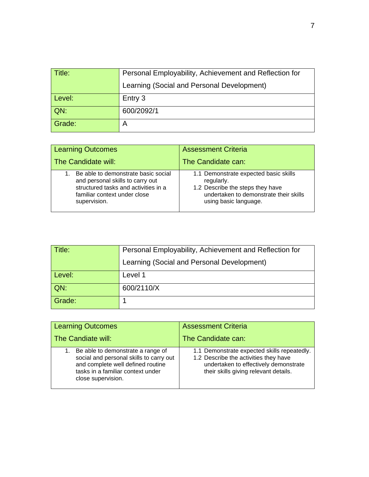| Title: | Personal Employability, Achievement and Reflection for |
|--------|--------------------------------------------------------|
|        | Learning (Social and Personal Development)             |
| Level: | Entry 3                                                |
| QN:    | 600/2092/1                                             |
| Grade: |                                                        |

| <b>Learning Outcomes</b>                                                                                                                                        | <b>Assessment Criteria</b>                                                                                                                                 |
|-----------------------------------------------------------------------------------------------------------------------------------------------------------------|------------------------------------------------------------------------------------------------------------------------------------------------------------|
| The Candidate will:                                                                                                                                             | The Candidate can:                                                                                                                                         |
| Be able to demonstrate basic social<br>and personal skills to carry out<br>structured tasks and activities in a<br>familiar context under close<br>supervision. | 1.1 Demonstrate expected basic skills<br>regularly.<br>1.2 Describe the steps they have<br>undertaken to demonstrate their skills<br>using basic language. |

| Title: | Personal Employability, Achievement and Reflection for |
|--------|--------------------------------------------------------|
|        | Learning (Social and Personal Development)             |
| Level: | Level 1                                                |
| QN:    | 600/2110/X                                             |
| Grade: |                                                        |

| <b>Learning Outcomes</b>                                                                                                                                                           | <b>Assessment Criteria</b>                                                                                                                                             |
|------------------------------------------------------------------------------------------------------------------------------------------------------------------------------------|------------------------------------------------------------------------------------------------------------------------------------------------------------------------|
| The Candiate will:                                                                                                                                                                 | The Candidate can:                                                                                                                                                     |
| Be able to demonstrate a range of<br>1.<br>social and personal skills to carry out<br>and complete well defined routine<br>tasks in a familiar context under<br>close supervision. | 1.1 Demonstrate expected skills repeatedly.<br>1.2 Describe the activities they have<br>undertaken to effectively demonstrate<br>their skills giving relevant details. |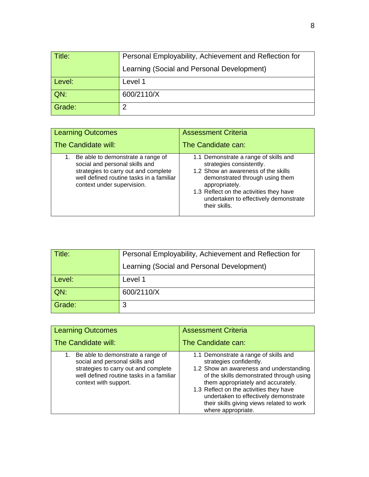| $\mid$ Title: | Personal Employability, Achievement and Reflection for |
|---------------|--------------------------------------------------------|
|               | Learning (Social and Personal Development)             |
| Level:        | Level 1                                                |
| QN:           | 600/2110/X                                             |
| Grade:        | റ                                                      |

| <b>Learning Outcomes</b>                                                                                                                                                                 | <b>Assessment Criteria</b>                                                                                                                                                                                                                                         |
|------------------------------------------------------------------------------------------------------------------------------------------------------------------------------------------|--------------------------------------------------------------------------------------------------------------------------------------------------------------------------------------------------------------------------------------------------------------------|
| The Candidate will:                                                                                                                                                                      | The Candidate can:                                                                                                                                                                                                                                                 |
| 1. Be able to demonstrate a range of<br>social and personal skills and<br>strategies to carry out and complete<br>well defined routine tasks in a familiar<br>context under supervision. | 1.1 Demonstrate a range of skills and<br>strategies consistently.<br>1.2 Show an awareness of the skills<br>demonstrated through using them<br>appropriately.<br>1.3 Reflect on the activities they have<br>undertaken to effectively demonstrate<br>their skills. |

| Title: | Personal Employability, Achievement and Reflection for |
|--------|--------------------------------------------------------|
|        | Learning (Social and Personal Development)             |
| Level: | Level 1                                                |
| QN:    | 600/2110/X                                             |
| Grade: | 3                                                      |

| <b>Learning Outcomes</b>                                                                                                                                                            | <b>Assessment Criteria</b>                                                                                                                                                                                                                                                                                                                           |  |  |  |
|-------------------------------------------------------------------------------------------------------------------------------------------------------------------------------------|------------------------------------------------------------------------------------------------------------------------------------------------------------------------------------------------------------------------------------------------------------------------------------------------------------------------------------------------------|--|--|--|
| The Candidate will:                                                                                                                                                                 | The Candidate can:                                                                                                                                                                                                                                                                                                                                   |  |  |  |
| 1. Be able to demonstrate a range of<br>social and personal skills and<br>strategies to carry out and complete<br>well defined routine tasks in a familiar<br>context with support. | 1.1 Demonstrate a range of skills and<br>strategies confidently.<br>1.2 Show an awareness and understanding<br>of the skills demonstrated through using<br>them appropriately and accurately.<br>1.3 Reflect on the activities they have<br>undertaken to effectively demonstrate<br>their skills giving views related to work<br>where appropriate. |  |  |  |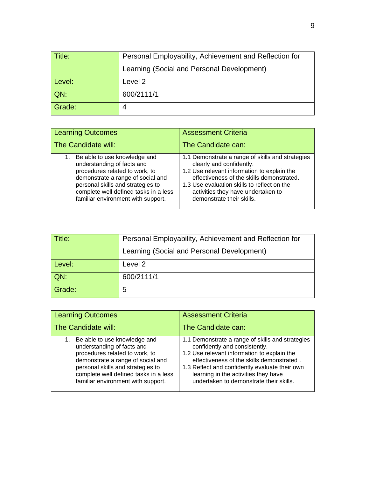| ∣ Title: | Personal Employability, Achievement and Reflection for |  |  |  |  |
|----------|--------------------------------------------------------|--|--|--|--|
|          | Learning (Social and Personal Development)             |  |  |  |  |
| Level:   | Level 2                                                |  |  |  |  |
| QN:      | 600/2111/1                                             |  |  |  |  |
| Grade:   | 4                                                      |  |  |  |  |

| <b>Learning Outcomes</b>                                                                                                                                                                                                                                 | <b>Assessment Criteria</b>                                                                                                                                                                                                                                                                 |  |  |  |
|----------------------------------------------------------------------------------------------------------------------------------------------------------------------------------------------------------------------------------------------------------|--------------------------------------------------------------------------------------------------------------------------------------------------------------------------------------------------------------------------------------------------------------------------------------------|--|--|--|
| The Candidate will:                                                                                                                                                                                                                                      | The Candidate can:                                                                                                                                                                                                                                                                         |  |  |  |
| 1. Be able to use knowledge and<br>understanding of facts and<br>procedures related to work, to<br>demonstrate a range of social and<br>personal skills and strategies to<br>complete well defined tasks in a less<br>familiar environment with support. | 1.1 Demonstrate a range of skills and strategies<br>clearly and confidently.<br>1.2 Use relevant information to explain the<br>effectiveness of the skills demonstrated.<br>1.3 Use evaluation skills to reflect on the<br>activities they have undertaken to<br>demonstrate their skills. |  |  |  |

| Title: | Personal Employability, Achievement and Reflection for |  |  |  |  |
|--------|--------------------------------------------------------|--|--|--|--|
|        | Learning (Social and Personal Development)             |  |  |  |  |
| Level: | Level 2                                                |  |  |  |  |
| QN:    | 600/2111/1                                             |  |  |  |  |
| Grade: | 5                                                      |  |  |  |  |

| <b>Learning Outcomes</b>                                                                                                                                                                                                                                 | <b>Assessment Criteria</b>                                                                                                                                                                                                                                                                                         |  |  |  |
|----------------------------------------------------------------------------------------------------------------------------------------------------------------------------------------------------------------------------------------------------------|--------------------------------------------------------------------------------------------------------------------------------------------------------------------------------------------------------------------------------------------------------------------------------------------------------------------|--|--|--|
| The Candidate will:                                                                                                                                                                                                                                      | The Candidate can:                                                                                                                                                                                                                                                                                                 |  |  |  |
| 1. Be able to use knowledge and<br>understanding of facts and<br>procedures related to work, to<br>demonstrate a range of social and<br>personal skills and strategies to<br>complete well defined tasks in a less<br>familiar environment with support. | 1.1 Demonstrate a range of skills and strategies<br>confidently and consistently.<br>1.2 Use relevant information to explain the<br>effectiveness of the skills demonstrated.<br>1.3 Reflect and confidently evaluate their own<br>learning in the activities they have<br>undertaken to demonstrate their skills. |  |  |  |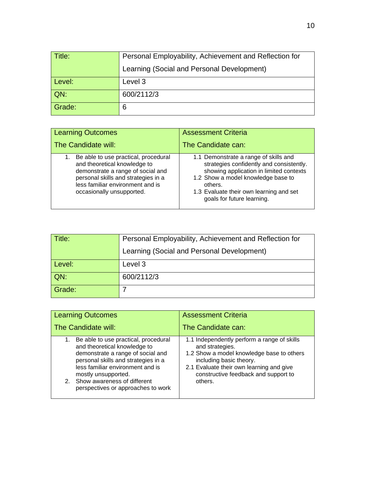| $\mid$ Title: | Personal Employability, Achievement and Reflection for |  |  |  |  |  |
|---------------|--------------------------------------------------------|--|--|--|--|--|
|               | Learning (Social and Personal Development)             |  |  |  |  |  |
| Level:        | Level 3                                                |  |  |  |  |  |
| QN:           | 600/2112/3                                             |  |  |  |  |  |
| Grade:        | 6                                                      |  |  |  |  |  |

| <b>Learning Outcomes</b>                                                                                                                                                                                          | <b>Assessment Criteria</b>                                                                                                                                                                                                                             |  |  |
|-------------------------------------------------------------------------------------------------------------------------------------------------------------------------------------------------------------------|--------------------------------------------------------------------------------------------------------------------------------------------------------------------------------------------------------------------------------------------------------|--|--|
| The Candidate will:                                                                                                                                                                                               | The Candidate can:                                                                                                                                                                                                                                     |  |  |
| Be able to use practical, procedural<br>and theoretical knowledge to<br>demonstrate a range of social and<br>personal skills and strategies in a<br>less familiar environment and is<br>occasionally unsupported. | 1.1 Demonstrate a range of skills and<br>strategies confidently and consistently.<br>showing application in limited contexts<br>1.2 Show a model knowledge base to<br>others.<br>1.3 Evaluate their own learning and set<br>goals for future learning. |  |  |

| $\mid$ Title: | Personal Employability, Achievement and Reflection for |  |  |  |
|---------------|--------------------------------------------------------|--|--|--|
|               | Learning (Social and Personal Development)             |  |  |  |
| Level:        | Level 3                                                |  |  |  |
| $QN$ :        | 600/2112/3                                             |  |  |  |
| Grade:        |                                                        |  |  |  |

| <b>Learning Outcomes</b>                                                                                                                                                                                                                                                               | <b>Assessment Criteria</b>                                                                                                                                                                                                            |  |  |  |
|----------------------------------------------------------------------------------------------------------------------------------------------------------------------------------------------------------------------------------------------------------------------------------------|---------------------------------------------------------------------------------------------------------------------------------------------------------------------------------------------------------------------------------------|--|--|--|
| The Candidate will:                                                                                                                                                                                                                                                                    | The Candidate can:                                                                                                                                                                                                                    |  |  |  |
| 1. Be able to use practical, procedural<br>and theoretical knowledge to<br>demonstrate a range of social and<br>personal skills and strategies in a<br>less familiar environment and is<br>mostly unsupported.<br>2. Show awareness of different<br>perspectives or approaches to work | 1.1 Independently perform a range of skills<br>and strategies.<br>1.2 Show a model knowledge base to others<br>including basic theory.<br>2.1 Evaluate their own learning and give<br>constructive feedback and support to<br>others. |  |  |  |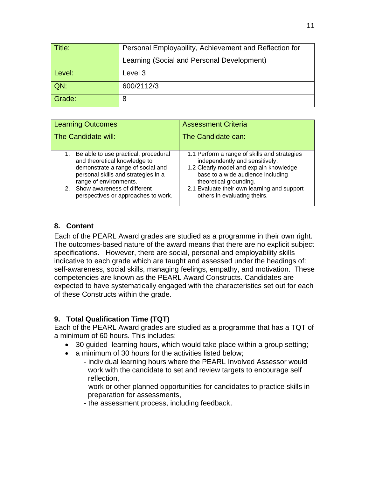| ∣ Title: | Personal Employability, Achievement and Reflection for |  |  |  |  |
|----------|--------------------------------------------------------|--|--|--|--|
|          | Learning (Social and Personal Development)             |  |  |  |  |
| Level:   | Level 3                                                |  |  |  |  |
| $QN$ :   | 600/2112/3                                             |  |  |  |  |
| Grade:   | 8                                                      |  |  |  |  |

| <b>Learning Outcomes</b>                                                                                                                                                                                                                               | <b>Assessment Criteria</b>                                                                                                                                                                                                                                              |  |  |  |
|--------------------------------------------------------------------------------------------------------------------------------------------------------------------------------------------------------------------------------------------------------|-------------------------------------------------------------------------------------------------------------------------------------------------------------------------------------------------------------------------------------------------------------------------|--|--|--|
| The Candidate will:                                                                                                                                                                                                                                    | The Candidate can:                                                                                                                                                                                                                                                      |  |  |  |
| 1. Be able to use practical, procedural<br>and theoretical knowledge to<br>demonstrate a range of social and<br>personal skills and strategies in a<br>range of environments.<br>2. Show awareness of different<br>perspectives or approaches to work. | 1.1 Perform a range of skills and strategies<br>independently and sensitively.<br>1.2 Clearly model and explain knowledge<br>base to a wide audience including<br>theoretical grounding.<br>2.1 Evaluate their own learning and support<br>others in evaluating theirs. |  |  |  |

#### **8. Content**

Each of the PEARL Award grades are studied as a programme in their own right. The outcomes-based nature of the award means that there are no explicit subject specifications. However, there are social, personal and employability skills indicative to each grade which are taught and assessed under the headings of: self-awareness, social skills, managing feelings, empathy, and motivation. These competencies are known as the PEARL Award Constructs. Candidates are expected to have systematically engaged with the characteristics set out for each of these Constructs within the grade.

#### **9. Total Qualification Time (TQT)**

Each of the PEARL Award grades are studied as a programme that has a TQT of a minimum of 60 hours. This includes:

- 30 guided learning hours, which would take place within a group setting;
- a minimum of 30 hours for the activities listed below:
	- individual learning hours where the PEARL Involved Assessor would work with the candidate to set and review targets to encourage self reflection,
		- work or other planned opportunities for candidates to practice skills in preparation for assessments,
		- the assessment process, including feedback.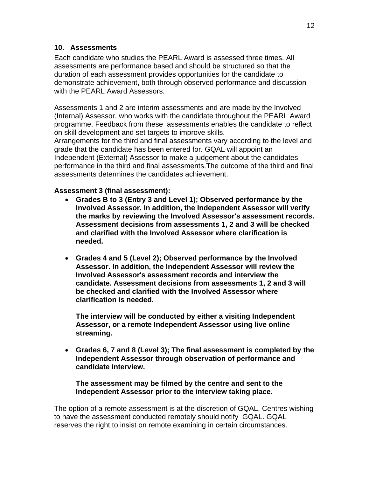#### **10. Assessments**

Each candidate who studies the PEARL Award is assessed three times. All assessments are performance based and should be structured so that the duration of each assessment provides opportunities for the candidate to demonstrate achievement, both through observed performance and discussion with the PEARL Award Assessors.

Assessments 1 and 2 are interim assessments and are made by the Involved (Internal) Assessor, who works with the candidate throughout the PEARL Award programme. Feedback from these assessments enables the candidate to reflect on skill development and set targets to improve skills.

Arrangements for the third and final assessments vary according to the level and grade that the candidate has been entered for. GQAL will appoint an Independent (External) Assessor to make a judgement about the candidates performance in the third and final assessments.The outcome of the third and final assessments determines the candidates achievement.

#### **Assessment 3 (final assessment):**

- **Grades B to 3 (Entry 3 and Level 1); Observed performance by the Involved Assessor. In addition, the Independent Assessor will verify the marks by reviewing the Involved Assessor's assessment records. Assessment decisions from assessments 1, 2 and 3 will be checked and clarified with the Involved Assessor where clarification is needed.**
- **Grades 4 and 5 (Level 2); Observed performance by the Involved Assessor. In addition, the Independent Assessor will review the Involved Assessor's assessment records and interview the candidate. Assessment decisions from assessments 1, 2 and 3 will be checked and clarified with the Involved Assessor where clarification is needed.**

**The interview will be conducted by either a visiting Independent Assessor, or a remote Independent Assessor using live online streaming.**

• **Grades 6, 7 and 8 (Level 3); The final assessment is completed by the Independent Assessor through observation of performance and candidate interview.**

**The assessment may be filmed by the centre and sent to the Independent Assessor prior to the interview taking place.**

The option of a remote assessment is at the discretion of GQAL. Centres wishing to have the assessment conducted remotely should notify GQAL. GQAL reserves the right to insist on remote examining in certain circumstances.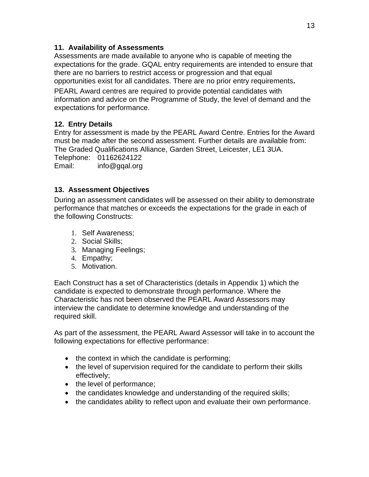#### **11. Availability of Assessments**

Assessments are made available to anyone who is capable of meeting the expectations for the grade. GQAL entry requirements are intended to ensure that there are no barriers to restrict access or progression and that equal opportunities exist for all candidates. There are no prior entry requirements**.** 

PEARL Award centres are required to provide potential candidates with information and advice on the Programme of Study, the level of demand and the expectations for performance.

#### **12. Entry Details**

Entry for assessment is made by the PEARL Award Centre. Entries for the Award must be made after the second assessment. Further details are available from: The Graded Qualifications Alliance, Garden Street, Leicester, LE1 3UA.

Telephone: 01162624122

Email: info@gqal.org

#### **13. Assessment Objectives**

During an assessment candidates will be assessed on their ability to demonstrate performance that matches or exceeds the expectations for the grade in each of the following Constructs:

- 1. Self Awareness;
- 2. Social Skills;
- 3. Managing Feelings;
- 4. Empathy;
- 5. Motivation.

Each Construct has a set of Characteristics (details in Appendix 1) which the candidate is expected to demonstrate through performance. Where the Characteristic has not been observed the PEARL Award Assessors may interview the candidate to determine knowledge and understanding of the required skill.

As part of the assessment, the PEARL Award Assessor will take in to account the following expectations for effective performance:

- the context in which the candidate is performing;
- the level of supervision required for the candidate to perform their skills effectively;
- the level of performance;
- the candidates knowledge and understanding of the required skills;
- the candidates ability to reflect upon and evaluate their own performance.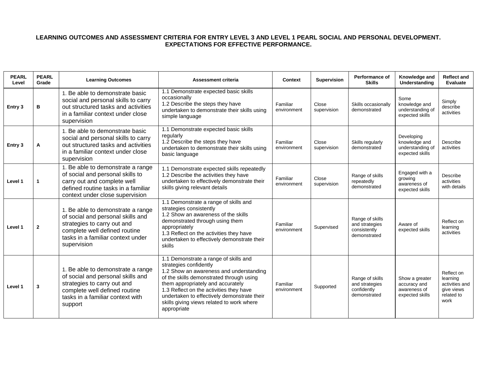#### **LEARNING OUTCOMES AND ASSESSMENT CRITERIA FOR ENTRY LEVEL 3 AND LEVEL 1 PEARL SOCIAL AND PERSONAL DEVELOPMENT. EXPECTATIONS FOR EFFECTIVE PERFORMANCE.**

| <b>PEARL</b><br>Level | <b>PEARL</b><br>Grade | <b>Learning Outcomes</b>                                                                                                                                                                   | <b>Assessment criteria</b>                                                                                                                                                                                                                                                                                                                        | <b>Context</b>          | Supervision          | Performance of<br><b>Skills</b>                                   | Knowledge and<br>Understanding                                     | <b>Reflect and</b><br><b>Evaluate</b>                                        |
|-----------------------|-----------------------|--------------------------------------------------------------------------------------------------------------------------------------------------------------------------------------------|---------------------------------------------------------------------------------------------------------------------------------------------------------------------------------------------------------------------------------------------------------------------------------------------------------------------------------------------------|-------------------------|----------------------|-------------------------------------------------------------------|--------------------------------------------------------------------|------------------------------------------------------------------------------|
| Entry 3               | В                     | 1. Be able to demonstrate basic<br>social and personal skills to carry<br>out structured tasks and activities<br>in a familiar context under close<br>supervision                          | 1.1 Demonstrate expected basic skills<br>occasionally<br>1.2 Describe the steps they have<br>undertaken to demonstrate their skills using<br>simple language                                                                                                                                                                                      | Familiar<br>environment | Close<br>supervision | Skills occasionally<br>demonstrated                               | Some<br>knowledge and<br>understanding of<br>expected skills       | Simply<br>describe<br>activities                                             |
| Entry 3               | Α                     | 1. Be able to demonstrate basic<br>social and personal skills to carry<br>out structured tasks and activities<br>in a familiar context under close<br>supervision                          | 1.1 Demonstrate expected basic skills<br>regularly<br>1.2 Describe the steps they have<br>undertaken to demonstrate their skills using<br>basic language                                                                                                                                                                                          | Familiar<br>environment | Close<br>supervision | Skills regularly<br>demonstrated                                  | Developing<br>knowledge and<br>understanding of<br>expected skills | Describe<br>activities                                                       |
| Level 1               |                       | 1. Be able to demonstrate a range<br>of social and personal skills to<br>carry out and complete well<br>defined routine tasks in a familiar<br>context under close supervision             | 1.1 Demonstrate expected skills repeatedly<br>1.2 Describe the activities they have<br>undertaken to effectively demonstrate their<br>skills giving relevant details                                                                                                                                                                              | Familiar<br>environment | Close<br>supervision | Range of skills<br>repeatedly<br>demonstrated                     | Engaged with a<br>growing<br>awareness of<br>expected skills       | Describe<br>activities<br>with details                                       |
| Level 1               | $\overline{2}$        | 1. Be able to demonstrate a range<br>of social and personal skills and<br>strategies to carry out and<br>complete well defined routine<br>tasks in a familiar context under<br>supervision | 1.1 Demonstrate a range of skills and<br>strategies consistently<br>1.2 Show an awareness of the skills<br>demonstrated through using them<br>appropriately<br>1.3 Reflect on the activities they have<br>undertaken to effectively demonstrate their<br>skills                                                                                   | Familiar<br>environment | Supervised           | Range of skills<br>and strategies<br>consistently<br>demonstrated | Aware of<br>expected skills                                        | Reflect on<br>learning<br>activities                                         |
| Level 1               | 3                     | 1. Be able to demonstrate a range<br>of social and personal skills and<br>strategies to carry out and<br>complete well defined routine<br>tasks in a familiar context with<br>support      | 1.1 Demonstrate a range of skills and<br>strategies confidently<br>1.2 Show an awareness and understanding<br>of the skills demonstrated through using<br>them appropriately and accurately<br>1.3 Reflect on the activities they have<br>undertaken to effectively demonstrate their<br>skills giving views related to work where<br>appropriate | Familiar<br>environment | Supported            | Range of skills<br>and strategies<br>confidently<br>demonstrated  | Show a greater<br>accuracy and<br>awareness of<br>expected skills  | Reflect on<br>learning<br>activities and<br>give views<br>related to<br>work |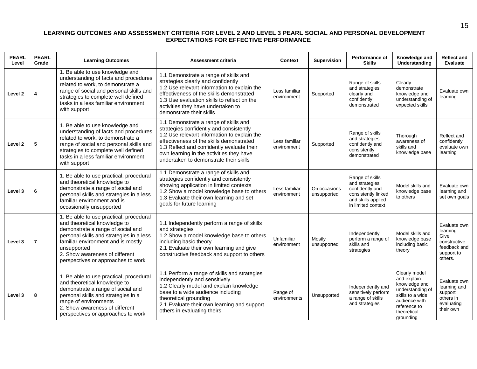#### **LEARNING OUTCOMES AND ASSESSMENT CRITERIA FOR LEVEL 2 AND LEVEL 3 PEARL SOCIAL AND PERSONAL DEVELOPMENT EXPECTATIONS FOR EFFECTIVE PERFORMANCE**

| <b>PEARL</b><br>Level | <b>PEARL</b><br>Grade | <b>Learning Outcomes</b>                                                                                                                                                                                                                                                              | <b>Assessment criteria</b>                                                                                                                                                                                                                                                                                      | <b>Context</b>               | <b>Supervision</b>          | Performance of<br><b>Skills</b>                                                                                         | Knowledge and<br>Understanding                                                                                                                     | <b>Reflect and</b><br><b>Evaluate</b>                                                     |
|-----------------------|-----------------------|---------------------------------------------------------------------------------------------------------------------------------------------------------------------------------------------------------------------------------------------------------------------------------------|-----------------------------------------------------------------------------------------------------------------------------------------------------------------------------------------------------------------------------------------------------------------------------------------------------------------|------------------------------|-----------------------------|-------------------------------------------------------------------------------------------------------------------------|----------------------------------------------------------------------------------------------------------------------------------------------------|-------------------------------------------------------------------------------------------|
| Level 2               | 4                     | 1. Be able to use knowledge and<br>understanding of facts and procedures<br>related to work, to demonstrate a<br>range of social and personal skills and<br>strategies to complete well defined<br>tasks in a less familiar environment<br>with support                               | 1.1 Demonstrate a range of skills and<br>strategies clearly and confidently<br>1.2 Use relevant information to explain the<br>effectiveness of the skills demonstrated<br>1.3 Use evaluation skills to reflect on the<br>activities they have undertaken to<br>demonstrate their skills                         | Less familiar<br>environment | Supported                   | Range of skills<br>and strategies<br>clearly and<br>confidently<br>demonstrated                                         | Clearly<br>demonstrate<br>knowledge and<br>understanding of<br>expected skills                                                                     | Evaluate own<br>learning                                                                  |
| Level 2               | 5                     | 1. Be able to use knowledge and<br>understanding of facts and procedures<br>related to work, to demonstrate a<br>range of social and personal skills and<br>strategies to complete well defined<br>tasks in a less familiar environment<br>with support                               | 1.1 Demonstrate a range of skills and<br>strategies confidently and consistently<br>1.2 Use relevant information to explain the<br>effectiveness of the skills demonstrated<br>1.3 Reflect and confidently evaluate their<br>own learning in the activities they have<br>undertaken to demonstrate their skills | Less familiar<br>environment | Supported                   | Range of skills<br>and strategies<br>confidently and<br>consistently<br>demonstrated                                    | Thorough<br>awareness of<br>skills and<br>knowledge base                                                                                           | Reflect and<br>confidently<br>evaluate own<br>learning                                    |
| Level 3               | 6                     | 1. Be able to use practical, procedural<br>and theoretical knowledge to<br>demonstrate a range of social and<br>personal skills and strategies in a less<br>familiar environment and is<br>occasionally unsupported                                                                   | 1.1 Demonstrate a range of skills and<br>strategies confidently and consistently<br>showing application in limited contexts<br>1.2 Show a model knowledge base to others<br>1.3 Evaluate their own learning and set<br>goals for future learning                                                                | Less familiar<br>environment | On occasions<br>unsupported | Range of skills<br>and strategies<br>confidently and<br>consistently linked<br>and skills applied<br>in limited context | Model skills and<br>knowledge base<br>to others                                                                                                    | Evaluate own<br>learning and<br>set own goals                                             |
| Level 3               | $\overline{7}$        | 1. Be able to use practical, procedural<br>and theoretical knowledge to<br>demonstrate a range of social and<br>personal skills and strategies in a less<br>familiar environment and is mostly<br>unsupported<br>2. Show awareness of different<br>perspectives or approaches to work | 1.1 Independently perform a range of skills<br>and strategies<br>1.2 Show a model knowledge base to others<br>including basic theory<br>2.1 Evaluate their own learning and give<br>constructive feedback and support to others                                                                                 | Unfamiliar<br>environment    | Mostly<br>unsupported       | Independently<br>perform a range of<br>skills and<br>strategies                                                         | Model skills and<br>knowledge base<br>including basic<br>theory                                                                                    | Evaluate own<br>learning<br>Give<br>constructive<br>feedback and<br>support to<br>others. |
| Level 3               | 8                     | 1. Be able to use practical, procedural<br>and theoretical knowledge to<br>demonstrate a range of social and<br>personal skills and strategies in a<br>range of environments<br>2. Show awareness of different<br>perspectives or approaches to work                                  | 1.1 Perform a range of skills and strategies<br>independently and sensitively<br>1.2 Clearly model and explain knowledge<br>base to a wide audience including<br>theoretical grounding<br>2.1 Evaluate their own learning and support<br>others in evaluating theirs                                            | Range of<br>environments     | Unsupported                 | Independently and<br>sensitively perform<br>a range of skills<br>and strategies                                         | Clearly model<br>and explain<br>knowledge and<br>understanding of<br>skills to a wide<br>audience with<br>reference to<br>theoretical<br>grounding | Evaluate own<br>learning and<br>support<br>others in<br>evaluating<br>their own           |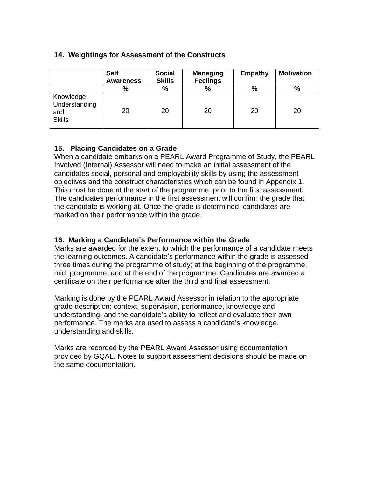#### **14. Weightings for Assessment of the Constructs**

|                                                     | <b>Self</b><br><b>Awareness</b> | <b>Social</b><br><b>Skills</b> | <b>Managing</b><br><b>Feelings</b> | <b>Empathy</b> | <b>Motivation</b> |
|-----------------------------------------------------|---------------------------------|--------------------------------|------------------------------------|----------------|-------------------|
|                                                     | %                               | %                              | %                                  | $\frac{0}{0}$  | $\frac{0}{0}$     |
| Knowledge,<br>Understanding<br>and<br><b>Skills</b> | 20                              | 20                             | 20                                 | 20             | 20                |

#### **15. Placing Candidates on a Grade**

When a candidate embarks on a PEARL Award Programme of Study, the PEARL Involved (Internal) Assessor will need to make an initial assessment of the candidates social, personal and employability skills by using the assessment objectives and the construct characteristics which can be found in Appendix 1. This must be done at the start of the programme, prior to the first assessment. The candidates performance in the first assessment will confirm the grade that the candidate is working at. Once the grade is determined, candidates are marked on their performance within the grade.

#### **16. Marking a Candidate's Performance within the Grade**

Marks are awarded for the extent to which the performance of a candidate meets the learning outcomes. A candidate's performance within the grade is assessed three times during the programme of study; at the beginning of the programme, mid programme, and at the end of the programme. Candidates are awarded a certificate on their performance after the third and final assessment.

Marking is done by the PEARL Award Assessor in relation to the appropriate grade description: context, supervision, performance, knowledge and understanding, and the candidate's ability to reflect and evaluate their own performance. The marks are used to assess a candidate's knowledge, understanding and skills.

Marks are recorded by the PEARL Award Assessor using documentation provided by GQAL. Notes to support assessment decisions should be made on the same documentation.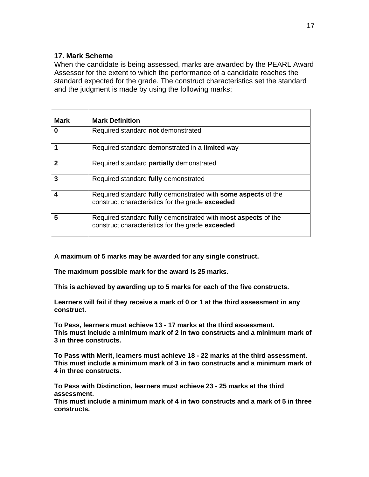#### **17. Mark Scheme**

When the candidate is being assessed, marks are awarded by the PEARL Award Assessor for the extent to which the performance of a candidate reaches the standard expected for the grade. The construct characteristics set the standard and the judgment is made by using the following marks;

| <b>Mark</b>  | <b>Mark Definition</b>                                                                                            |
|--------------|-------------------------------------------------------------------------------------------------------------------|
| 0            | Required standard not demonstrated                                                                                |
| 1            | Required standard demonstrated in a limited way                                                                   |
| $\mathbf{2}$ | Required standard partially demonstrated                                                                          |
| 3            | Required standard fully demonstrated                                                                              |
| 4            | Required standard fully demonstrated with some aspects of the<br>construct characteristics for the grade exceeded |
| 5            | Required standard fully demonstrated with most aspects of the<br>construct characteristics for the grade exceeded |

**A maximum of 5 marks may be awarded for any single construct.**

**The maximum possible mark for the award is 25 marks.**

**This is achieved by awarding up to 5 marks for each of the five constructs.**

**Learners will fail if they receive a mark of 0 or 1 at the third assessment in any construct.**

**To Pass, learners must achieve 13 - 17 marks at the third assessment. This must include a minimum mark of 2 in two constructs and a minimum mark of 3 in three constructs.** 

**To Pass with Merit, learners must achieve 18 - 22 marks at the third assessment. This must include a minimum mark of 3 in two constructs and a minimum mark of 4 in three constructs.** 

**To Pass with Distinction, learners must achieve 23 - 25 marks at the third assessment.** 

**This must include a minimum mark of 4 in two constructs and a mark of 5 in three constructs.**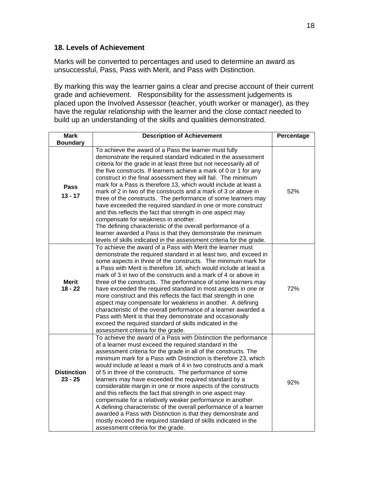#### **18. Levels of Achievement**

Marks will be converted to percentages and used to determine an award as unsuccessful, Pass, Pass with Merit, and Pass with Distinction.

By marking this way the learner gains a clear and precise account of their current grade and achievement. Responsibility for the assessment judgements is placed upon the Involved Assessor (teacher, youth worker or manager), as they have the regular relationship with the learner and the close contact needed to build up an understanding of the skills and qualities demonstrated.

| <b>Mark</b>                     | <b>Description of Achievement</b>                                                                                                                                                                                                                                                                                                                                                                                                                                                                                                                                                                                                                                                                                                                                                                                                                                                                                    | Percentage |
|---------------------------------|----------------------------------------------------------------------------------------------------------------------------------------------------------------------------------------------------------------------------------------------------------------------------------------------------------------------------------------------------------------------------------------------------------------------------------------------------------------------------------------------------------------------------------------------------------------------------------------------------------------------------------------------------------------------------------------------------------------------------------------------------------------------------------------------------------------------------------------------------------------------------------------------------------------------|------------|
| <b>Boundary</b>                 |                                                                                                                                                                                                                                                                                                                                                                                                                                                                                                                                                                                                                                                                                                                                                                                                                                                                                                                      |            |
| <b>Pass</b><br>$13 - 17$        | To achieve the award of a Pass the learner must fully<br>demonstrate the required standard indicated in the assessment<br>criteria for the grade in at least three but not necessarily all of<br>the five constructs. If learners achieve a mark of 0 or 1 for any<br>construct in the final assessment they will fail. The minimum<br>mark for a Pass is therefore 13, which would include at least a<br>mark of 2 in two of the constructs and a mark of 3 or above in<br>three of the constructs. The performance of some learners may<br>have exceeded the required standard in one or more construct<br>and this reflects the fact that strength in one aspect may<br>compensate for weakness in another.<br>The defining characteristic of the overall performance of a<br>learner awarded a Pass is that they demonstrate the minimum<br>levels of skills indicated in the assessment criteria for the grade. | 52%        |
| <b>Merit</b><br>$18 - 22$       | To achieve the award of a Pass with Merit the learner must<br>demonstrate the required standard in at least two, and exceed in<br>some aspects in three of the constructs. The minimum mark for<br>a Pass with Merit is therefore 18, which would include at least a<br>mark of 3 in two of the constructs and a mark of 4 or above in<br>three of the constructs. The performance of some learners may<br>have exceeded the required standard in most aspects in one or<br>more construct and this reflects the fact that strength in one<br>aspect may compensate for weakness in another. A defining<br>characteristic of the overall performance of a learner awarded a<br>Pass with Merit is that they demonstrate and occasionally<br>exceed the required standard of skills indicated in the<br>assessment criteria for the grade.                                                                            | 72%        |
| <b>Distinction</b><br>$23 - 25$ | To achieve the award of a Pass with Distinction the performance<br>of a learner must exceed the required standard in the<br>assessment criteria for the grade in all of the constructs. The<br>minimum mark for a Pass with Distinction is therefore 23, which<br>would include at least a mark of 4 in two constructs and a mark<br>of 5 in three of the constructs. The performance of some<br>learners may have exceeded the required standard by a<br>considerable margin in one or more aspects of the constructs<br>and this reflects the fact that strength in one aspect may<br>compensate for a relatively weaker performance in another.<br>A defining characteristic of the overall performance of a learner<br>awarded a Pass with Distinction is that they demonstrate and<br>mostly exceed the required standard of skills indicated in the<br>assessment criteria for the grade.                      | 92%        |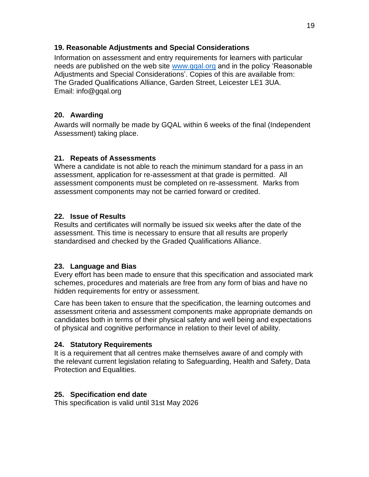#### **19. Reasonable Adjustments and Special Considerations**

Information on assessment and entry requirements for learners with particular needs are published on the web site [www.gqal.org](http://www.gqal.org/) and in the policy 'Reasonable Adjustments and Special Considerations'. Copies of this are available from: The Graded Qualifications Alliance, Garden Street, Leicester LE1 3UA. Email: info@gqal.org

#### **20. Awarding**

Awards will normally be made by GQAL within 6 weeks of the final (Independent Assessment) taking place.

#### **21. Repeats of Assessments**

Where a candidate is not able to reach the minimum standard for a pass in an assessment, application for re-assessment at that grade is permitted. All assessment components must be completed on re-assessment. Marks from assessment components may not be carried forward or credited.

#### **22. Issue of Results**

Results and certificates will normally be issued six weeks after the date of the assessment. This time is necessary to ensure that all results are properly standardised and checked by the Graded Qualifications Alliance.

#### **23. Language and Bias**

Every effort has been made to ensure that this specification and associated mark schemes, procedures and materials are free from any form of bias and have no hidden requirements for entry or assessment.

Care has been taken to ensure that the specification, the learning outcomes and assessment criteria and assessment components make appropriate demands on candidates both in terms of their physical safety and well being and expectations of physical and cognitive performance in relation to their level of ability.

#### **24. Statutory Requirements**

It is a requirement that all centres make themselves aware of and comply with the relevant current legislation relating to Safeguarding, Health and Safety, Data Protection and Equalities.

#### **25. Specification end date**

This specification is valid until 31st May 2026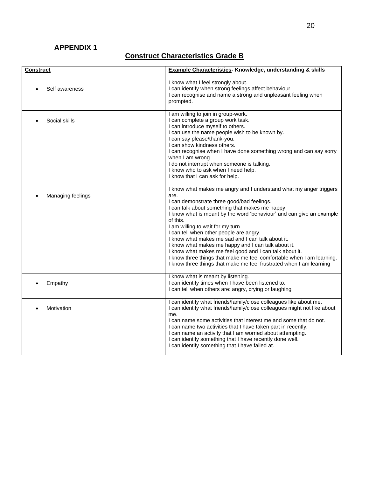### **APPENDIX 1**

| <b>Construct</b>  | <b>Example Characteristics- Knowledge, understanding &amp; skills</b>                                                                                                                                                                                                                                                                                                                                                                                                                                                                                                                                                                                                  |
|-------------------|------------------------------------------------------------------------------------------------------------------------------------------------------------------------------------------------------------------------------------------------------------------------------------------------------------------------------------------------------------------------------------------------------------------------------------------------------------------------------------------------------------------------------------------------------------------------------------------------------------------------------------------------------------------------|
| Self awareness    | I know what I feel strongly about.<br>I can identify when strong feelings affect behaviour.<br>I can recognise and name a strong and unpleasant feeling when<br>prompted.                                                                                                                                                                                                                                                                                                                                                                                                                                                                                              |
| Social skills     | I am willing to join in group-work.<br>I can complete a group work task.<br>I can introduce myself to others.<br>I can use the name people wish to be known by.<br>I can say please/thank-you.<br>I can show kindness others.<br>I can recognise when I have done something wrong and can say sorry<br>when I am wrong.<br>I do not interrupt when someone is talking.<br>I know who to ask when I need help.<br>I know that I can ask for help.                                                                                                                                                                                                                       |
| Managing feelings | I know what makes me angry and I understand what my anger triggers<br>are.<br>I can demonstrate three good/bad feelings.<br>I can talk about something that makes me happy.<br>I know what is meant by the word 'behaviour' and can give an example<br>of this.<br>I am willing to wait for my turn.<br>I can tell when other people are angry.<br>I know what makes me sad and I can talk about it.<br>I know what makes me happy and I can talk about it.<br>I know what makes me feel good and I can talk about it.<br>I know three things that make me feel comfortable when I am learning.<br>I know three things that make me feel frustrated when I am learning |
| Empathy           | I know what is meant by listening.<br>I can identify times when I have been listened to.<br>I can tell when others are: angry, crying or laughing                                                                                                                                                                                                                                                                                                                                                                                                                                                                                                                      |
| Motivation        | I can identify what friends/family/close colleagues like about me.<br>I can identify what friends/family/close colleagues might not like about<br>me.<br>I can name some activities that interest me and some that do not.<br>I can name two activities that I have taken part in recently.<br>I can name an activity that I am worried about attempting.<br>I can identify something that I have recently done well.<br>I can identify something that I have failed at.                                                                                                                                                                                               |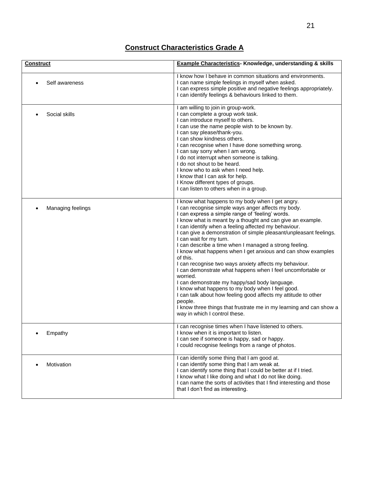| <b>Construct</b>  | <b>Example Characteristics- Knowledge, understanding &amp; skills</b>                                                                                                                                                                                                                                                                                                                                                                                                                                                                                                                                                                                                                                                                                                                                                                                                                                                                                  |
|-------------------|--------------------------------------------------------------------------------------------------------------------------------------------------------------------------------------------------------------------------------------------------------------------------------------------------------------------------------------------------------------------------------------------------------------------------------------------------------------------------------------------------------------------------------------------------------------------------------------------------------------------------------------------------------------------------------------------------------------------------------------------------------------------------------------------------------------------------------------------------------------------------------------------------------------------------------------------------------|
| Self awareness    | I know how I behave in common situations and environments.<br>I can name simple feelings in myself when asked.<br>I can express simple positive and negative feelings appropriately.<br>I can identify feelings & behaviours linked to them.                                                                                                                                                                                                                                                                                                                                                                                                                                                                                                                                                                                                                                                                                                           |
| Social skills     | I am willing to join in group-work.<br>I can complete a group work task.<br>I can introduce myself to others.<br>I can use the name people wish to be known by.<br>I can say please/thank-you.<br>I can show kindness others.<br>I can recognise when I have done something wrong.<br>I can say sorry when I am wrong.<br>I do not interrupt when someone is talking.<br>I do not shout to be heard.<br>I know who to ask when I need help.<br>I know that I can ask for help.<br>I Know different types of groups.<br>I can listen to others when in a group.                                                                                                                                                                                                                                                                                                                                                                                         |
| Managing feelings | I know what happens to my body when I get angry.<br>I can recognise simple ways anger affects my body.<br>I can express a simple range of 'feeling' words.<br>I know what is meant by a thought and can give an example.<br>I can identify when a feeling affected my behaviour.<br>I can give a demonstration of simple pleasant/unpleasant feelings.<br>I can wait for my turn.<br>I can describe a time when I managed a strong feeling.<br>I know what happens when I get anxious and can show examples<br>of this.<br>I can recognise two ways anxiety affects my behaviour.<br>I can demonstrate what happens when I feel uncomfortable or<br>worried.<br>I can demonstrate my happy/sad body language.<br>I know what happens to my body when I feel good.<br>I can talk about how feeling good affects my attitude to other<br>people.<br>I know three things that frustrate me in my learning and can show a<br>way in which I control these. |
| Empathy           | I can recognise times when I have listened to others.<br>I know when it is important to listen.<br>I can see if someone is happy, sad or happy.<br>I could recognise feelings from a range of photos.                                                                                                                                                                                                                                                                                                                                                                                                                                                                                                                                                                                                                                                                                                                                                  |
| Motivation        | I can identify some thing that I am good at.<br>I can identify some thing that I am weak at.<br>I can identify some thing that I could be better at if I tried.<br>I know what I like doing and what I do not like doing.<br>I can name the sorts of activities that I find interesting and those<br>that I don't find as interesting.                                                                                                                                                                                                                                                                                                                                                                                                                                                                                                                                                                                                                 |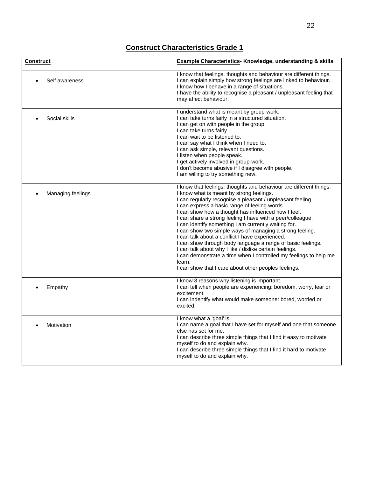| <b>Construct</b>  | <b>Example Characteristics- Knowledge, understanding &amp; skills</b>                                                                                                                                                                                                                                                                                                                                                                                                                                                                                                                                                                                                                                                                                                                      |  |
|-------------------|--------------------------------------------------------------------------------------------------------------------------------------------------------------------------------------------------------------------------------------------------------------------------------------------------------------------------------------------------------------------------------------------------------------------------------------------------------------------------------------------------------------------------------------------------------------------------------------------------------------------------------------------------------------------------------------------------------------------------------------------------------------------------------------------|--|
| Self awareness    | I know that feelings, thoughts and behaviour are different things.<br>I can explain simply how strong feelings are linked to behaviour.<br>I know how I behave in a range of situations.<br>I have the ability to recognise a pleasant / unpleasant feeling that<br>may affect behaviour.                                                                                                                                                                                                                                                                                                                                                                                                                                                                                                  |  |
| Social skills     | I understand what is meant by group-work.<br>I can take turns fairly in a structured situation.<br>I can get on with people in the group.<br>I can take turns fairly.<br>I can wait to be listened to.<br>I can say what I think when I need to.<br>I can ask simple, relevant questions.<br>I listen when people speak.<br>I get actively involved in group-work.<br>I don't become abusive if I disagree with people.<br>I am willing to try something new.                                                                                                                                                                                                                                                                                                                              |  |
| Managing feelings | I know that feelings, thoughts and behaviour are different things.<br>I know what is meant by strong feelings.<br>I can regularly recognise a pleasant / unpleasant feeling.<br>I can express a basic range of feeling words.<br>I can show how a thought has influenced how I feel.<br>I can share a strong feeling I have with a peer/colleague.<br>I can identify something I am currently waiting for.<br>I can show two simple ways of managing a strong feeling.<br>I can talk about a conflict I have experienced.<br>I can show through body language a range of basic feelings.<br>I can talk about why I like / dislike certain feelings.<br>I can demonstrate a time when I controlled my feelings to help me<br>learn.<br>I can show that I care about other peoples feelings. |  |
| Empathy           | I know 3 reasons why listening is important.<br>I can tell when people are experiencing: boredom, worry, fear or<br>excitement.<br>I can indentify what would make someone: bored, worried or<br>excited.                                                                                                                                                                                                                                                                                                                                                                                                                                                                                                                                                                                  |  |
| Motivation        | I know what a 'goal' is.<br>I can name a goal that I have set for myself and one that someone<br>else has set for me.<br>I can describe three simple things that I find it easy to motivate<br>myself to do and explain why.<br>I can describe three simple things that I find it hard to motivate<br>myself to do and explain why.                                                                                                                                                                                                                                                                                                                                                                                                                                                        |  |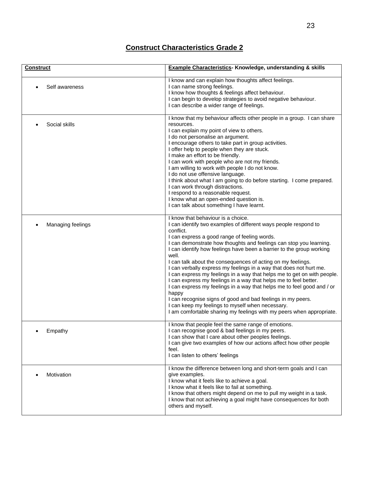| <b>Construct</b>  | <b>Example Characteristics- Knowledge, understanding &amp; skills</b>                                                                                                                                                                                                                                                                                                                                                                                                                                                                                                                                                                                                                                                                                                                                                                                                                       |
|-------------------|---------------------------------------------------------------------------------------------------------------------------------------------------------------------------------------------------------------------------------------------------------------------------------------------------------------------------------------------------------------------------------------------------------------------------------------------------------------------------------------------------------------------------------------------------------------------------------------------------------------------------------------------------------------------------------------------------------------------------------------------------------------------------------------------------------------------------------------------------------------------------------------------|
| Self awareness    | I know and can explain how thoughts affect feelings.<br>I can name strong feelings.<br>I know how thoughts & feelings affect behaviour.<br>I can begin to develop strategies to avoid negative behaviour.<br>I can describe a wider range of feelings.                                                                                                                                                                                                                                                                                                                                                                                                                                                                                                                                                                                                                                      |
| Social skills     | I know that my behaviour affects other people in a group. I can share<br>resources.<br>I can explain my point of view to others.<br>I do not personalise an argument.<br>I encourage others to take part in group activities.<br>I offer help to people when they are stuck.<br>I make an effort to be friendly.<br>I can work with people who are not my friends.<br>I am willing to work with people I do not know.<br>I do not use offensive language.<br>I think about what I am going to do before starting. I come prepared.<br>I can work through distractions.<br>I respond to a reasonable request.<br>I know what an open-ended question is.<br>I can talk about something I have learnt.                                                                                                                                                                                         |
| Managing feelings | I know that behaviour is a choice.<br>I can identify two examples of different ways people respond to<br>conflict.<br>I can express a good range of feeling words.<br>I can demonstrate how thoughts and feelings can stop you learning.<br>I can identify how feelings have been a barrier to the group working<br>well.<br>I can talk about the consequences of acting on my feelings.<br>I can verbally express my feelings in a way that does not hurt me.<br>I can express my feelings in a way that helps me to get on with people.<br>I can express my feelings in a way that helps me to feel better.<br>I can express my feelings in a way that helps me to feel good and / or<br>happy<br>I can recognise signs of good and bad feelings in my peers.<br>I can keep my feelings to myself when necessary.<br>I am comfortable sharing my feelings with my peers when appropriate. |
| Empathy           | I know that people feel the same range of emotions.<br>I can recognise good & bad feelings in my peers.<br>I can show that I care about other peoples feelings.<br>I can give two examples of how our actions affect how other people<br>feel.<br>I can listen to others' feelings                                                                                                                                                                                                                                                                                                                                                                                                                                                                                                                                                                                                          |
| Motivation        | I know the difference between long and short-term goals and I can<br>give examples.<br>I know what it feels like to achieve a goal.<br>I know what it feels like to fail at something.<br>I know that others might depend on me to pull my weight in a task.<br>I know that not achieving a goal might have consequences for both<br>others and myself.                                                                                                                                                                                                                                                                                                                                                                                                                                                                                                                                     |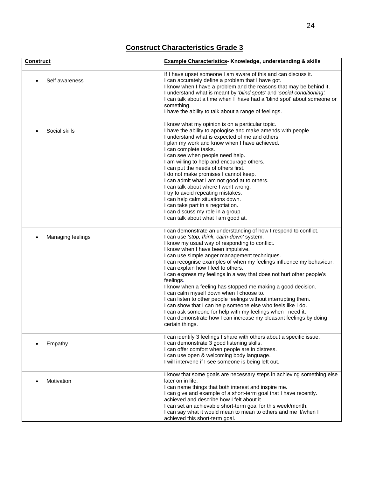| <b>Construct</b>  | <b>Example Characteristics- Knowledge, understanding &amp; skills</b>                                                                                                                                                                                                                                                                                                                                                                                                                                                                                                                                                                                                                                                                                                                                                                                               |  |
|-------------------|---------------------------------------------------------------------------------------------------------------------------------------------------------------------------------------------------------------------------------------------------------------------------------------------------------------------------------------------------------------------------------------------------------------------------------------------------------------------------------------------------------------------------------------------------------------------------------------------------------------------------------------------------------------------------------------------------------------------------------------------------------------------------------------------------------------------------------------------------------------------|--|
| Self awareness    | If I have upset someone I am aware of this and can discuss it.<br>I can accurately define a problem that I have got.<br>I know when I have a problem and the reasons that may be behind it.<br>I understand what is meant by 'blind spots' and 'social conditioning'.<br>I can talk about a time when I have had a 'blind spot' about someone or<br>something.<br>I have the ability to talk about a range of feelings.                                                                                                                                                                                                                                                                                                                                                                                                                                             |  |
| Social skills     | I know what my opinion is on a particular topic.<br>I have the ability to apologise and make amends with people.<br>I understand what is expected of me and others.<br>I plan my work and know when I have achieved.<br>I can complete tasks.<br>I can see when people need help.<br>I am willing to help and encourage others.<br>I can put the needs of others first.<br>I do not make promises I cannot keep.<br>I can admit what I am not good at to others.<br>I can talk about where I went wrong.<br>I try to avoid repeating mistakes.<br>I can help calm situations down.<br>I can take part in a negotiation.<br>I can discuss my role in a group.<br>I can talk about what I am good at.                                                                                                                                                                 |  |
| Managing feelings | I can demonstrate an understanding of how I respond to conflict.<br>I can use 'stop, think, calm-down' system.<br>I know my usual way of responding to conflict.<br>I know when I have been impulsive.<br>I can use simple anger management techniques.<br>I can recognise examples of when my feelings influence my behaviour.<br>I can explain how I feel to others.<br>I can express my feelings in a way that does not hurt other people's<br>feelings.<br>I know when a feeling has stopped me making a good decision.<br>I can calm myself down when I choose to.<br>I can listen to other people feelings without interrupting them.<br>I can show that I can help someone else who feels like I do.<br>I can ask someone for help with my feelings when I need it.<br>I can demonstrate how I can increase my pleasant feelings by doing<br>certain things. |  |
| Empathy           | I can identify 3 feelings I share with others about a specific issue.<br>I can demonstrate 3 good listening skills.<br>I can offer comfort when people are in distress.<br>I can use open & welcoming body language.<br>I will intervene if I see someone is being left out.                                                                                                                                                                                                                                                                                                                                                                                                                                                                                                                                                                                        |  |
| Motivation        | I know that some goals are necessary steps in achieving something else<br>later on in life.<br>I can name things that both interest and inspire me.<br>I can give and example of a short-term goal that I have recently.<br>achieved and describe how I felt about it.<br>I can set an achievable short-term goal for this week/month.<br>I can say what it would mean to mean to others and me if/when I<br>achieved this short-term goal.                                                                                                                                                                                                                                                                                                                                                                                                                         |  |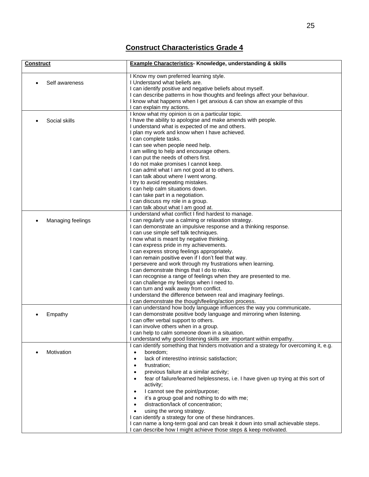| <b>Construct</b>  | <b>Example Characteristics- Knowledge, understanding &amp; skills</b>                                                                                                                                                                                                                                                                                                                                                                                                                                                                                                                                                                                                                                                                                                                                                                  |
|-------------------|----------------------------------------------------------------------------------------------------------------------------------------------------------------------------------------------------------------------------------------------------------------------------------------------------------------------------------------------------------------------------------------------------------------------------------------------------------------------------------------------------------------------------------------------------------------------------------------------------------------------------------------------------------------------------------------------------------------------------------------------------------------------------------------------------------------------------------------|
| Self awareness    | I Know my own preferred learning style.<br>I Understand what beliefs are.<br>I can identify positive and negative beliefs about myself.<br>I can describe patterns in how thoughts and feelings affect your behaviour.<br>I know what happens when I get anxious & can show an example of this<br>I can explain my actions.                                                                                                                                                                                                                                                                                                                                                                                                                                                                                                            |
| Social skills     | I know what my opinion is on a particular topic.<br>I have the ability to apologise and make amends with people.<br>I understand what is expected of me and others.<br>I plan my work and know when I have achieved.<br>I can complete tasks.<br>I can see when people need help.<br>I am willing to help and encourage others.<br>I can put the needs of others first.<br>I do not make promises I cannot keep.<br>I can admit what I am not good at to others.<br>I can talk about where I went wrong.<br>I try to avoid repeating mistakes.<br>I can help calm situations down.<br>I can take part in a negotiation.<br>I can discuss my role in a group.<br>I can talk about what I am good at.                                                                                                                                    |
| Managing feelings | I understand what conflict I find hardest to manage.<br>I can regularly use a calming or relaxation strategy.<br>I can demonstrate an impulsive response and a thinking response.<br>I can use simple self talk techniques.<br>I now what is meant by negative thinking.<br>I can express pride in my achievements.<br>I can express strong feelings appropriately.<br>I can remain positive even if I don't feel that way.<br>I persevere and work through my frustrations when learning.<br>I can demonstrate things that I do to relax.<br>I can recognise a range of feelings when they are presented to me.<br>I can challenge my feelings when I need to.<br>I can turn and walk away from conflict.<br>I understand the difference between real and imaginary feelings.<br>I can demonstrate the though/feeling/action process. |
| Empathy           | I can understand how body language influences the way you communicate.<br>I can demonstrate positive body language and mirroring when listening.<br>I can offer verbal support to others.<br>I can involve others when in a group.<br>I can help to calm someone down in a situation.<br>I understand why good listening skills are important within empathy.                                                                                                                                                                                                                                                                                                                                                                                                                                                                          |
| Motivation        | I can identify something that hinders motivation and a strategy for overcoming it, e.g.<br>boredom;<br>lack of interest/no intrinsic satisfaction;<br>frustration;<br>previous failure at a similar activity;<br>fear of failure/learned helplessness, i.e. I have given up trying at this sort of<br>activity;<br>I cannot see the point/purpose;<br>it's a group goal and nothing to do with me;<br>distraction/lack of concentration;<br>using the wrong strategy.<br>I can identify a strategy for one of these hindrances.<br>I can name a long-term goal and can break it down into small achievable steps.<br>I can describe how I might achieve those steps & keep motivated.                                                                                                                                                  |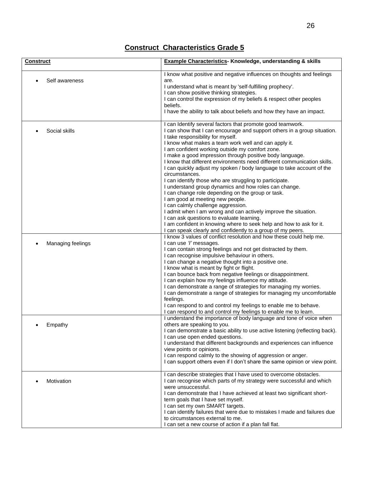| <b>Construct</b>  | <b>Example Characteristics- Knowledge, understanding &amp; skills</b>                                                                                                                                                                                                                                                                                                                                                                                                                                                                                                                                                                                                                                                                                                                                                                                                                                                                                                                                                             |  |
|-------------------|-----------------------------------------------------------------------------------------------------------------------------------------------------------------------------------------------------------------------------------------------------------------------------------------------------------------------------------------------------------------------------------------------------------------------------------------------------------------------------------------------------------------------------------------------------------------------------------------------------------------------------------------------------------------------------------------------------------------------------------------------------------------------------------------------------------------------------------------------------------------------------------------------------------------------------------------------------------------------------------------------------------------------------------|--|
| Self awareness    | I know what positive and negative influences on thoughts and feelings<br>are.<br>I understand what is meant by 'self-fulfilling prophecy'.<br>I can show positive thinking strategies.<br>I can control the expression of my beliefs & respect other peoples<br>beliefs.<br>I have the ability to talk about beliefs and how they have an impact.                                                                                                                                                                                                                                                                                                                                                                                                                                                                                                                                                                                                                                                                                 |  |
| Social skills     | I can Identify several factors that promote good teamwork.<br>I can show that I can encourage and support others in a group situation.<br>I take responsibility for myself.<br>I know what makes a team work well and can apply it.<br>I am confident working outside my comfort zone.<br>I make a good impression through positive body language.<br>I know that different environments need different communication skills.<br>I can quickly adjust my spoken / body language to take account of the<br>circumstances.<br>I can identify those who are struggling to participate.<br>I understand group dynamics and how roles can change.<br>I can change role depending on the group or task.<br>I am good at meeting new people.<br>I can calmly challenge aggression.<br>I admit when I am wrong and can actively improve the situation.<br>I can ask questions to evaluate learning.<br>I am confident in knowing where to seek help and how to ask for it.<br>I can speak clearly and confidently to a group of my peers. |  |
| Managing feelings | I know 3 values of conflict resolution and how these could help me.<br>I can use 'l' messages.<br>I can contain strong feelings and not get distracted by them.<br>I can recognise impulsive behaviour in others.<br>I can change a negative thought into a positive one.<br>I know what is meant by fight or flight.<br>I can bounce back from negative feelings or disappointment.<br>I can explain how my feelings influence my attitude.<br>I can demonstrate a range of strategies for managing my worries.<br>I can demonstrate a range of strategies for managing my uncomfortable<br>feelings.<br>I can respond to and control my feelings to enable me to behave.<br>I can respond to and control my feelings to enable me to learn.                                                                                                                                                                                                                                                                                     |  |
| Empathy           | I understand the importance of body language and tone of voice when<br>others are speaking to you.<br>I can demonstrate a basic ability to use active listening (reflecting back).<br>I can use open ended questions.<br>I understand that different backgrounds and experiences can influence<br>view points or opinions.<br>I can respond calmly to the showing of aggression or anger.<br>I can support others even if I don't share the same opinion or view point.                                                                                                                                                                                                                                                                                                                                                                                                                                                                                                                                                           |  |
| Motivation        | I can describe strategies that I have used to overcome obstacles.<br>I can recognise which parts of my strategy were successful and which<br>were unsuccessful.<br>I can demonstrate that I have achieved at least two significant short-<br>term goals that I have set myself.<br>I can set my own SMART targets.<br>I can identify failures that were due to mistakes I made and failures due<br>to circumstances external to me.<br>I can set a new course of action if a plan fall flat.                                                                                                                                                                                                                                                                                                                                                                                                                                                                                                                                      |  |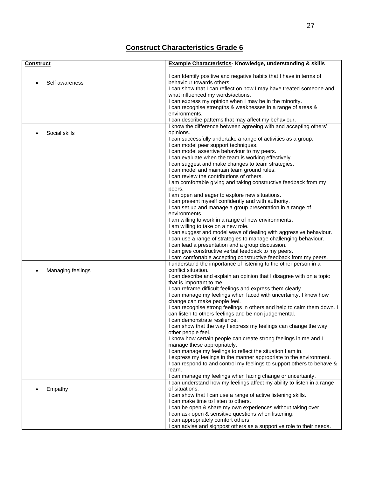| <b>Construct</b>  | <b>Example Characteristics- Knowledge, understanding &amp; skills</b>                                                                                                                                                                                                                                                                                                                                                                                                                                                                                                                                                                                                                                                                                                                                                                                                                                                                                                                                                     |
|-------------------|---------------------------------------------------------------------------------------------------------------------------------------------------------------------------------------------------------------------------------------------------------------------------------------------------------------------------------------------------------------------------------------------------------------------------------------------------------------------------------------------------------------------------------------------------------------------------------------------------------------------------------------------------------------------------------------------------------------------------------------------------------------------------------------------------------------------------------------------------------------------------------------------------------------------------------------------------------------------------------------------------------------------------|
| Self awareness    | I can Identify positive and negative habits that I have in terms of<br>behaviour towards others.<br>I can show that I can reflect on how I may have treated someone and<br>what influenced my words/actions.<br>I can express my opinion when I may be in the minority.<br>I can recognise strengths & weaknesses in a range of areas &<br>environments.<br>I can describe patterns that may affect my behaviour.                                                                                                                                                                                                                                                                                                                                                                                                                                                                                                                                                                                                         |
| Social skills     | I know the difference between agreeing with and accepting others'<br>opinions.<br>I can successfully undertake a range of activities as a group.<br>I can model peer support techniques.<br>I can model assertive behaviour to my peers.<br>I can evaluate when the team is working effectively.<br>I can suggest and make changes to team strategies.<br>I can model and maintain team ground rules.<br>I can review the contributions of others.<br>I am comfortable giving and taking constructive feedback from my<br>peers.                                                                                                                                                                                                                                                                                                                                                                                                                                                                                          |
|                   | I am open and eager to explore new situations.<br>I can present myself confidently and with authority.<br>I can set up and manage a group presentation in a range of<br>environments.<br>I am willing to work in a range of new environments.<br>I am willing to take on a new role.<br>I can suggest and model ways of dealing with aggressive behaviour.<br>I can use a range of strategies to manage challenging behaviour.<br>I can lead a presentation and a group discussion.<br>I can give constructive verbal feedback to my peers.<br>I cam comfortable accepting constructive feedback from my peers.                                                                                                                                                                                                                                                                                                                                                                                                           |
| Managing feelings | I understand the importance of listening to the other person in a<br>conflict situation.<br>I can describe and explain an opinion that I disagree with on a topic<br>that is important to me.<br>I can reframe difficult feelings and express them clearly.<br>I can manage my feelings when faced with uncertainty. I know how<br>change can make people feel.<br>I can recognise strong feelings in others and help to calm them down. I<br>can listen to others feelings and be non judgemental.<br>I can demonstrate resilience.<br>I can show that the way I express my feelings can change the way<br>other people feel.<br>I know how certain people can create strong feelings in me and I<br>manage these appropriately.<br>I can manage my feelings to reflect the situation I am in.<br>I express my feelings in the manner appropriate to the environment.<br>I can respond to and control my feelings to support others to behave &<br>learn.<br>I can manage my feelings when facing change or uncertainty. |
| Empathy           | I can understand how my feelings affect my ability to listen in a range<br>of situations.<br>I can show that I can use a range of active listening skills.<br>I can make time to listen to others.<br>I can be open & share my own experiences without taking over.<br>I can ask open & sensitive questions when listening.<br>I can appropriately comfort others.<br>I can advise and signpost others as a supportive role to their needs.                                                                                                                                                                                                                                                                                                                                                                                                                                                                                                                                                                               |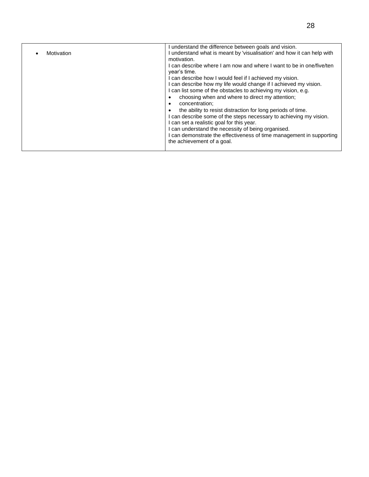| Motivation | I understand the difference between goals and vision.<br>understand what is meant by 'visualisation' and how it can help with<br>motivation.<br>I can describe where I am now and where I want to be in one/five/ten<br>vear's time.<br>I can describe how I would feel if I achieved my vision.<br>I can describe how my life would change if I achieved my vision.<br>I can list some of the obstacles to achieving my vision, e.g.<br>choosing when and where to direct my attention;<br>٠<br>concentration:<br>$\bullet$<br>the ability to resist distraction for long periods of time.<br>٠<br>can describe some of the steps necessary to achieving my vision.<br>can set a realistic goal for this year.<br>can understand the necessity of being organised.<br>I can demonstrate the effectiveness of time management in supporting |
|------------|---------------------------------------------------------------------------------------------------------------------------------------------------------------------------------------------------------------------------------------------------------------------------------------------------------------------------------------------------------------------------------------------------------------------------------------------------------------------------------------------------------------------------------------------------------------------------------------------------------------------------------------------------------------------------------------------------------------------------------------------------------------------------------------------------------------------------------------------|
|            | the achievement of a goal.                                                                                                                                                                                                                                                                                                                                                                                                                                                                                                                                                                                                                                                                                                                                                                                                                  |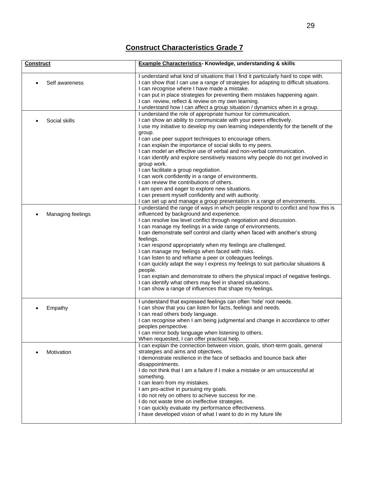| <b>Construct</b>  | <b>Example Characteristics- Knowledge, understanding &amp; skills</b>                                                                                                                                                                                                                                                                                                                                                                                                                                                                                                                                                                                                                                                                                                                                                                                          |
|-------------------|----------------------------------------------------------------------------------------------------------------------------------------------------------------------------------------------------------------------------------------------------------------------------------------------------------------------------------------------------------------------------------------------------------------------------------------------------------------------------------------------------------------------------------------------------------------------------------------------------------------------------------------------------------------------------------------------------------------------------------------------------------------------------------------------------------------------------------------------------------------|
| Self awareness    | I understand what kind of situations that I find it particularly hard to cope with.<br>I can show that I can use a range of strategies for adapting to difficult situations.<br>I can recognise where I have made a mistake.<br>I can put in place strategies for preventing them mistakes happening again.<br>I can review, reflect & review on my own learning.<br>I understand how I can affect a group situation / dynamics when in a group.                                                                                                                                                                                                                                                                                                                                                                                                               |
| Social skills     | I understand the role of appropriate humour for communication.<br>I can show an ability to communicate with your peers effectively.<br>I use my initiative to develop my own learning independently for the benefit of the<br>group.<br>I can use peer support techniques to encourage others.<br>I can explain the importance of social skills to my peers.<br>I can model an effective use of verbal and non-verbal communication.<br>I can identify and explore sensitively reasons why people do not get involved in                                                                                                                                                                                                                                                                                                                                       |
|                   | group work.<br>I can facilitate a group negotiation.<br>I can work confidently in a range of environments.<br>I can review the contributions of others.<br>I am open and eager to explore new situations.<br>I can present myself confidently and with authority.<br>I can set up and manage a group presentation in a range of environments.                                                                                                                                                                                                                                                                                                                                                                                                                                                                                                                  |
| Managing feelings | I understand the range of ways in which people respond to conflict and how this is<br>influenced by background and experience.<br>I can resolve low level conflict through negotiation and discussion.<br>I can manage my feelings in a wide range of environments.<br>I can demonstrate self control and clarity when faced with another's strong<br>feelings.<br>I can respond appropriately when my feelings are challenged.<br>I can manage my feelings when faced with risks.<br>I can listen to and reframe a peer or colleagues feelings.<br>I can quickly adapt the way I express my feelings to suit particular situations &<br>people.<br>I can explain and demonstrate to others the physical impact of negative feelings.<br>I can identify what others may feel in shared situations.<br>I can show a range of influences that shape my feelings. |
| Empathy           | I understand that expressed feelings can often 'hide' root needs.<br>I can show that you can listen for facts, feelings and needs.<br>I can read others body language.<br>I can recognise when I am being judgmental and change in accordance to other<br>peoples perspective.<br>I can mirror body language when listening to others.<br>When requested, I can offer practical help.                                                                                                                                                                                                                                                                                                                                                                                                                                                                          |
| Motivation        | I can explain the connection between vision, goals, short-term goals, general<br>strategies and aims and objectives.<br>I demonstrate resilience in the face of setbacks and bounce back after<br>disappointments.<br>I do not think that I am a failure if I make a mistake or am unsuccessful at<br>something.<br>I can learn from my mistakes.<br>I am pro-active in pursuing my goals.<br>I do not rely on others to achieve success for me.<br>I do not waste time on ineffective strategies.<br>I can quickly evaluate my performance effectiveness.<br>I have developed vision of what I want to do in my future life                                                                                                                                                                                                                                   |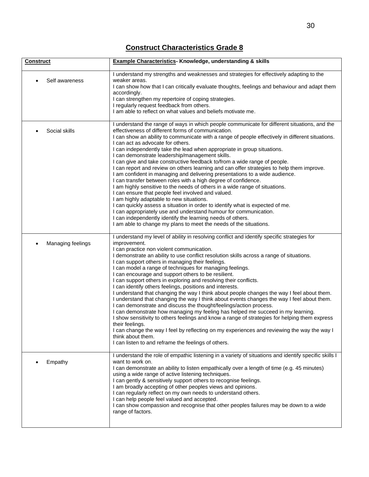| <b>Construct</b>  | Example Characteristics- Knowledge, understanding & skills                                                                                                                                                                                                                                                                                                                                                                                                                                                                                                                                                                                                                                                                                                                                                                                                                                                                                                                                                                                                                                                                                                                                                                    |
|-------------------|-------------------------------------------------------------------------------------------------------------------------------------------------------------------------------------------------------------------------------------------------------------------------------------------------------------------------------------------------------------------------------------------------------------------------------------------------------------------------------------------------------------------------------------------------------------------------------------------------------------------------------------------------------------------------------------------------------------------------------------------------------------------------------------------------------------------------------------------------------------------------------------------------------------------------------------------------------------------------------------------------------------------------------------------------------------------------------------------------------------------------------------------------------------------------------------------------------------------------------|
| Self awareness    | I understand my strengths and weaknesses and strategies for effectively adapting to the<br>weaker areas.<br>I can show how that I can critically evaluate thoughts, feelings and behaviour and adapt them<br>accordingly.<br>I can strengthen my repertoire of coping strategies.<br>I regularly request feedback from others.<br>I am able to reflect on what values and beliefs motivate me.                                                                                                                                                                                                                                                                                                                                                                                                                                                                                                                                                                                                                                                                                                                                                                                                                                |
| Social skills     | I understand the range of ways in which people communicate for different situations, and the<br>effectiveness of different forms of communication.<br>I can show an ability to communicate with a range of people effectively in different situations.<br>I can act as advocate for others.<br>I can independently take the lead when appropriate in group situations.<br>I can demonstrate leadership/management skills.<br>I can give and take constructive feedback to/from a wide range of people.<br>I can report and review on others learning and can offer strategies to help them improve.<br>I am confident in managing and delivering presentations to a wide audience.<br>I can transfer between roles with a high degree of confidence.<br>I am highly sensitive to the needs of others in a wide range of situations.<br>I can ensure that people feel involved and valued.<br>I am highly adaptable to new situations.<br>I can quickly assess a situation in order to identify what is expected of me.<br>I can appropriately use and understand humour for communication.<br>I can independently identify the learning needs of others.<br>I am able to change my plans to meet the needs of the situations. |
| Managing feelings | I understand my level of ability in resolving conflict and identify specific strategies for<br>improvement.<br>I can practice non violent communication.<br>I demonstrate an ability to use conflict resolution skills across a range of situations.<br>I can support others in managing their feelings.<br>I can model a range of techniques for managing feelings.<br>I can encourage and support others to be resilient.<br>I can support others in exploring and resolving their conflicts.<br>I can identify others feelings, positions and interests.<br>I understand that changing the way I think about people changes the way I feel about them.<br>I understand that changing the way I think about events changes the way I feel about them.<br>I can demonstrate and discuss the thought/feelings/action process.<br>I can demonstrate how managing my feeling has helped me succeed in my learning.<br>I show sensitivity to others feelings and know a range of strategies for helping them express<br>their feelings.<br>I can change the way I feel by reflecting on my experiences and reviewing the way the way I<br>think about them.<br>I can listen to and reframe the feelings of others.               |
| Empathy           | I understand the role of empathic listening in a variety of situations and identify specific skills I<br>want to work on.<br>I can demonstrate an ability to listen empathically over a length of time (e.g. 45 minutes)<br>using a wide range of active listening techniques.<br>I can gently & sensitively support others to recognise feelings.<br>I am broadly accepting of other peoples views and opinions.<br>I can regularly reflect on my own needs to understand others.<br>I can help people feel valued and accepted.<br>I can show compassion and recognise that other peoples failures may be down to a wide<br>range of factors.                                                                                                                                                                                                                                                                                                                                                                                                                                                                                                                                                                               |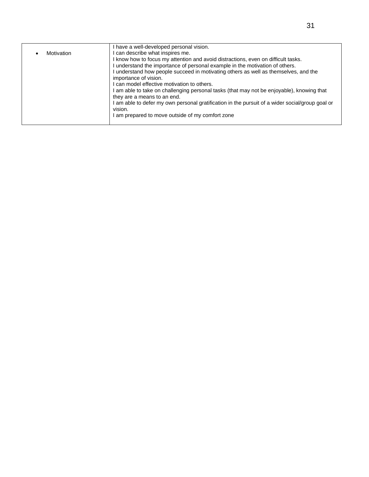|            | I have a well-developed personal vision.                                                                               |
|------------|------------------------------------------------------------------------------------------------------------------------|
| Motivation | can describe what inspires me.                                                                                         |
|            | I know how to focus my attention and avoid distractions, even on difficult tasks.                                      |
|            | understand the importance of personal example in the motivation of others.                                             |
|            | understand how people succeed in motivating others as well as themselves, and the                                      |
|            | importance of vision.                                                                                                  |
|            | can model effective motivation to others.                                                                              |
|            | am able to take on challenging personal tasks (that may not be enjoyable), knowing that<br>they are a means to an end. |
|            | am able to defer my own personal gratification in the pursuit of a wider social/group goal or<br>vision.               |
|            | am prepared to move outside of my comfort zone                                                                         |
|            |                                                                                                                        |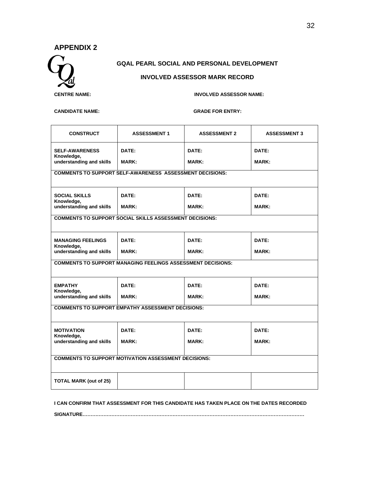#### **APPENDIX 2**



#### **GQAL PEARL SOCIAL AND PERSONAL DEVELOPMENT**

#### **INVOLVED ASSESSOR MARK RECORD**

**CENTRE NAME: INVOLVED ASSESSOR NAME:** 

#### **CANDIDATE NAME: GRADE FOR ENTRY:**

| <b>CONSTRUCT</b>                                                   | <b>ASSESSMENT 1</b>                                            | <b>ASSESSMENT 2</b> | <b>ASSESSMENT 3</b> |  |  |  |  |  |  |  |  |
|--------------------------------------------------------------------|----------------------------------------------------------------|---------------------|---------------------|--|--|--|--|--|--|--|--|
| <b>SELF-AWARENESS</b><br>Knowledge,                                | DATE:                                                          | DATE:               | DATE:               |  |  |  |  |  |  |  |  |
| understanding and skills                                           | <b>MARK:</b>                                                   | <b>MARK:</b>        | <b>MARK:</b>        |  |  |  |  |  |  |  |  |
| <b>COMMENTS TO SUPPORT SELF-AWARENESS ASSESSMENT DECISIONS:</b>    |                                                                |                     |                     |  |  |  |  |  |  |  |  |
| <b>SOCIAL SKILLS</b><br>Knowledge,                                 | DATE:                                                          | DATE:               | DATE:               |  |  |  |  |  |  |  |  |
| understanding and skills                                           | <b>MARK:</b>                                                   | <b>MARK:</b>        | <b>MARK:</b>        |  |  |  |  |  |  |  |  |
|                                                                    | <b>COMMENTS TO SUPPORT SOCIAL SKILLS ASSESSMENT DECISIONS:</b> |                     |                     |  |  |  |  |  |  |  |  |
| <b>MANAGING FEELINGS</b><br>Knowledge,                             | DATE:                                                          | DATE:               | DATE:               |  |  |  |  |  |  |  |  |
| understanding and skills                                           | <b>MARK:</b>                                                   | <b>MARK:</b>        |                     |  |  |  |  |  |  |  |  |
| <b>COMMENTS TO SUPPORT MANAGING FEELINGS ASSESSMENT DECISIONS:</b> |                                                                |                     |                     |  |  |  |  |  |  |  |  |
| <b>EMPATHY</b><br>Knowledge,                                       | DATE:                                                          | DATE:               | DATE:               |  |  |  |  |  |  |  |  |
| understanding and skills                                           | <b>MARK:</b>                                                   | <b>MARK:</b>        | <b>MARK:</b>        |  |  |  |  |  |  |  |  |
| <b>COMMENTS TO SUPPORT EMPATHY ASSESSMENT DECISIONS:</b>           |                                                                |                     |                     |  |  |  |  |  |  |  |  |
| <b>MOTIVATION</b>                                                  | DATE:                                                          | DATE:               | DATE:               |  |  |  |  |  |  |  |  |
| Knowledge,<br>understanding and skills                             | <b>MARK:</b>                                                   | <b>MARK:</b>        | <b>MARK:</b>        |  |  |  |  |  |  |  |  |
| <b>COMMENTS TO SUPPORT MOTIVATION ASSESSMENT DECISIONS:</b>        |                                                                |                     |                     |  |  |  |  |  |  |  |  |
| <b>TOTAL MARK (out of 25)</b>                                      |                                                                |                     |                     |  |  |  |  |  |  |  |  |

**I CAN CONFIRM THAT ASSESSMENT FOR THIS CANDIDATE HAS TAKEN PLACE ON THE DATES RECORDED**

**SIGNATURE…………………………………………………………………………………………………………………………**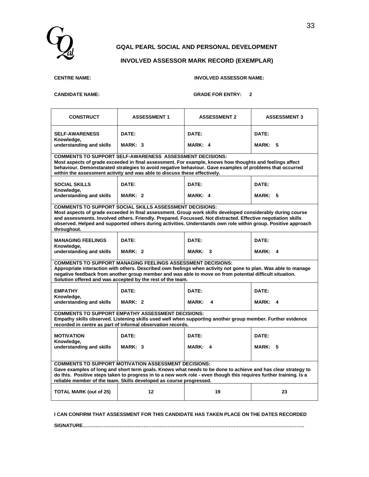

#### **GQAL PEARL SOCIAL AND PERSONAL DEVELOPMENT**

#### **INVOLVED ASSESSOR MARK RECORD (EXEMPLAR)**

| <b>CENTRE NAME:</b> |  |
|---------------------|--|
|---------------------|--|

#### **CENTRE NAME: INVOLVED ASSESSOR NAME:**

**CANDIDATE NAME: GRADE FOR ENTRY: 2**

| <b>CONSTRUCT</b>                                                                                                                                                                                                                                                                                                                                                                                                             | <b>ASSESSMENT 1</b>                                                                                                              | <b>ASSESSMENT 2</b>                                                                                                                                                                                                       | <b>ASSESSMENT 3</b> |  |  |  |  |  |  |  |
|------------------------------------------------------------------------------------------------------------------------------------------------------------------------------------------------------------------------------------------------------------------------------------------------------------------------------------------------------------------------------------------------------------------------------|----------------------------------------------------------------------------------------------------------------------------------|---------------------------------------------------------------------------------------------------------------------------------------------------------------------------------------------------------------------------|---------------------|--|--|--|--|--|--|--|
| <b>SELF-AWARENESS</b><br>Knowledge,<br>understanding and skills                                                                                                                                                                                                                                                                                                                                                              | DATE:<br>MARK: 3                                                                                                                 | DATE:<br>MARK: 4                                                                                                                                                                                                          | DATE:<br>MARK: 5    |  |  |  |  |  |  |  |
| <b>COMMENTS TO SUPPORT SELF-AWARENESS ASSESSMENT DECISIONS:</b><br>Most aspects of grade exceeded in final assessment. For example, knows how thoughts and feelings affect<br>behaviour. Demonstarated strategies to avoid negative behaviour. Gave examples of problems that occurred<br>within the assessment activity and was able to discuss these effectively.                                                          |                                                                                                                                  |                                                                                                                                                                                                                           |                     |  |  |  |  |  |  |  |
| <b>SOCIAL SKILLS</b><br>Knowledge,<br>understanding and skills                                                                                                                                                                                                                                                                                                                                                               | DATE:<br>MARK: 2                                                                                                                 | DATE:<br>MARK: 4                                                                                                                                                                                                          | DATE:<br>MARK: 5    |  |  |  |  |  |  |  |
| <b>COMMENTS TO SUPPORT SOCIAL SKILLS ASSESSMENT DECISIONS:</b><br>Most aspects of grade exceeded in final assessment. Group work skills developed considerably during course<br>and assessments. Involved others. Friendly. Prepared. Focussed. Not distracted. Effective negotiation skills<br>observed. Helped and supported others during activities. Understands own role within group. Positive approach<br>throughout. |                                                                                                                                  |                                                                                                                                                                                                                           |                     |  |  |  |  |  |  |  |
| <b>MANAGING FEELINGS</b><br>Knowledge,<br>understanding and skills                                                                                                                                                                                                                                                                                                                                                           | DATE:<br>MARK: 2                                                                                                                 | DATE:<br>MARK: 3                                                                                                                                                                                                          | DATE:<br>MARK: 4    |  |  |  |  |  |  |  |
|                                                                                                                                                                                                                                                                                                                                                                                                                              | <b>COMMENTS TO SUPPORT MANAGING FEELINGS ASSESSMENT DECISIONS:</b><br>Solution offered and was accepted by the rest of the team. | Appropriate interaction with others. Described own feelings when activity not gone to plan. Was able to manage<br>negative feedback from another group member and was able to move on from potential difficult situation. |                     |  |  |  |  |  |  |  |
| <b>EMPATHY</b><br>Knowledge,<br>understanding and skills                                                                                                                                                                                                                                                                                                                                                                     | DATE:<br>MARK: 2                                                                                                                 | DATE:<br><b>MARK:</b><br>4                                                                                                                                                                                                | DATE:<br>MARK: 4    |  |  |  |  |  |  |  |
| <b>COMMENTS TO SUPPORT EMPATHY ASSESSMENT DECISIONS:</b><br>Empathy skills observed. Listening skills used well when supporting another group member. Further evidence<br>recorded in centre as part of informal observation records.                                                                                                                                                                                        |                                                                                                                                  |                                                                                                                                                                                                                           |                     |  |  |  |  |  |  |  |
| <b>MOTIVATION</b><br>Knowledge,<br>understanding and skills                                                                                                                                                                                                                                                                                                                                                                  | DATE:<br>MARK: 3                                                                                                                 | DATE:<br>MARK: 4                                                                                                                                                                                                          | DATE:<br>MARK: 5    |  |  |  |  |  |  |  |
| <b>COMMENTS TO SUPPORT MOTIVATION ASSESSMENT DECISIONS:</b><br>Gave examples of long and short term goals. Knows what needs to be done to achieve and has clear strategy to<br>do this. Positive steps taken to progress in to a new work role - even though this requires further training. Is a<br>reliable member of the team. Skills developed as course progressed.                                                     |                                                                                                                                  |                                                                                                                                                                                                                           |                     |  |  |  |  |  |  |  |
| <b>TOTAL MARK (out of 25)</b>                                                                                                                                                                                                                                                                                                                                                                                                | 12                                                                                                                               | 19                                                                                                                                                                                                                        | 23                  |  |  |  |  |  |  |  |

**I CAN CONFIRM THAT ASSESSMENT FOR THIS CANDIDATE HAS TAKEN PLACE ON THE DATES RECORDED**

**SIGNATURE…………………………………………………………………………………………………………………………**